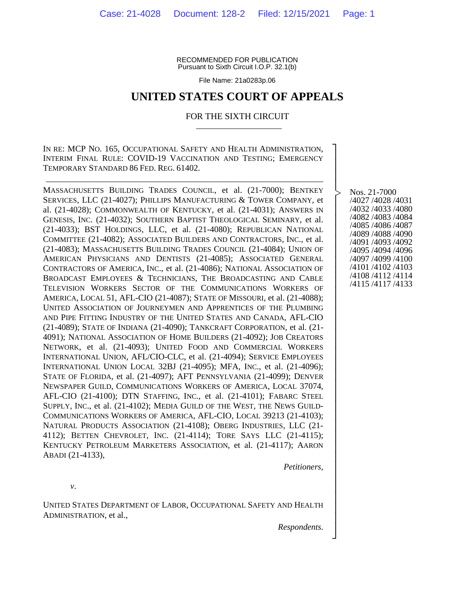RECOMMENDED FOR PUBLICATION Pursuant to Sixth Circuit I.O.P. 32.1(b)

File Name: 21a0283p.06

### **UNITED STATES COURT OF APPEALS**

#### FOR THE SIXTH CIRCUIT

IN RE: MCP NO. 165, OCCUPATIONAL SAFETY AND HEALTH ADMINISTRATION, INTERIM FINAL RULE: COVID-19 VACCINATION AND TESTING; EMERGENCY TEMPORARY STANDARD 86 FED. REG. 61402.

\_\_\_\_\_\_\_\_\_\_\_\_\_\_\_\_\_\_\_\_\_\_\_\_\_\_\_\_\_\_\_\_\_\_\_\_\_\_\_\_\_\_\_\_\_\_\_\_\_\_\_\_\_\_\_\_\_\_\_\_\_\_\_\_\_

MASSACHUSETTS BUILDING TRADES COUNCIL, et al. (21-7000); BENTKEY SERVICES, LLC (21-4027); PHILLIPS MANUFACTURING & TOWER COMPANY, et al. (21-4028); COMMONWEALTH OF KENTUCKY, et al. (21-4031); ANSWERS IN GENESIS, INC. (21-4032); SOUTHERN BAPTIST THEOLOGICAL SEMINARY, et al. (21-4033); BST HOLDINGS, LLC, et al. (21-4080); REPUBLICAN NATIONAL COMMITTEE (21-4082); ASSOCIATED BUILDERS AND CONTRACTORS, INC., et al. (21-4083); MASSACHUSETTS BUILDING TRADES COUNCIL (21-4084); UNION OF AMERICAN PHYSICIANS AND DENTISTS (21-4085); ASSOCIATED GENERAL CONTRACTORS OF AMERICA, INC., et al. (21-4086); NATIONAL ASSOCIATION OF BROADCAST EMPLOYEES & TECHNICIANS, THE BROADCASTING AND CABLE TELEVISION WORKERS SECTOR OF THE COMMUNICATIONS WORKERS OF AMERICA, LOCAL 51, AFL-CIO (21-4087); STATE OF MISSOURI, et al. (21-4088); UNITED ASSOCIATION OF JOURNEYMEN AND APPRENTICES OF THE PLUMBING AND PIPE FITTING INDUSTRY OF THE UNITED STATES AND CANADA, AFL-CIO (21-4089); STATE OF INDIANA (21-4090); TANKCRAFT CORPORATION, et al. (21- 4091); NATIONAL ASSOCIATION OF HOME BUILDERS (21-4092); JOB CREATORS NETWORK, et al. (21-4093); UNITED FOOD AND COMMERCIAL WORKERS INTERNATIONAL UNION, AFL/CIO-CLC, et al. (21-4094); SERVICE EMPLOYEES INTERNATIONAL UNION LOCAL 32BJ (21-4095); MFA, INC., et al. (21-4096); STATE OF FLORIDA, et al. (21-4097); AFT PENNSYLVANIA (21-4099); DENVER NEWSPAPER GUILD, COMMUNICATIONS WORKERS OF AMERICA, LOCAL 37074, AFL-CIO (21-4100); DTN STAFFING, INC., et al. (21-4101); FABARC STEEL SUPPLY, INC., et al. (21-4102); MEDIA GUILD OF THE WEST, THE NEWS GUILD-COMMUNICATIONS WORKERS OF AMERICA, AFL-CIO, LOCAL 39213 (21-4103); NATURAL PRODUCTS ASSOCIATION (21-4108); OBERG INDUSTRIES, LLC (21- 4112); BETTEN CHEVROLET, INC. (21-4114); TORE SAYS LLC (21-4115); KENTUCKY PETROLEUM MARKETERS ASSOCIATION, et al. (21-4117); AARON ABADI (21-4133),

Nos. 21-7000 /4027 /4028 /4031 /4032 /4033 /4080 /4082 /4083 /4084 /4085 /4086 /4087 /4089 /4088 /4090 /4091 /4093 /4092 /4095 /4094 /4096 /4097 /4099 /4100 /4101 /4102 /4103 /4108 /4112 /4114 /4115 /4117 /4133

┐ │ │ │ │ │ │ │ │ │ │ │ │ │ │ │ │ │ │ │ │ │ │ │ │ │ │ │ │ │ │ │ │ │ │ │ │ │ ┘

|<br>|<br>|

*v*.

UNITED STATES DEPARTMENT OF LABOR, OCCUPATIONAL SAFETY AND HEALTH ADMINISTRATION, et al.,

*Respondents*.

*Petitioners*,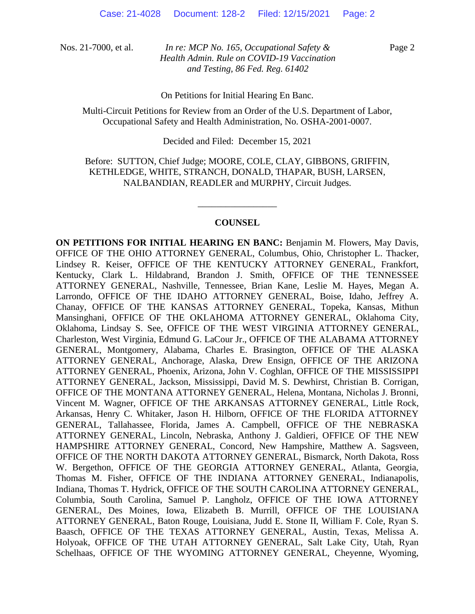Page 2

On Petitions for Initial Hearing En Banc.

Multi-Circuit Petitions for Review from an Order of the U.S. Department of Labor, Occupational Safety and Health Administration, No. OSHA-2001-0007.

Decided and Filed: December 15, 2021

Before: SUTTON, Chief Judge; MOORE, COLE, CLAY, GIBBONS, GRIFFIN, KETHLEDGE, WHITE, STRANCH, DONALD, THAPAR, BUSH, LARSEN, NALBANDIAN, READLER and MURPHY, Circuit Judges.

#### **COUNSEL**

\_\_\_\_\_\_\_\_\_\_\_\_\_\_\_\_\_

**ON PETITIONS FOR INITIAL HEARING EN BANC:** Benjamin M. Flowers, May Davis, OFFICE OF THE OHIO ATTORNEY GENERAL, Columbus, Ohio, Christopher L. Thacker, Lindsey R. Keiser, OFFICE OF THE KENTUCKY ATTORNEY GENERAL, Frankfort, Kentucky, Clark L. Hildabrand, Brandon J. Smith, OFFICE OF THE TENNESSEE ATTORNEY GENERAL, Nashville, Tennessee, Brian Kane, Leslie M. Hayes, Megan A. Larrondo, OFFICE OF THE IDAHO ATTORNEY GENERAL, Boise, Idaho, Jeffrey A. Chanay, OFFICE OF THE KANSAS ATTORNEY GENERAL, Topeka, Kansas, Mithun Mansinghani, OFFICE OF THE OKLAHOMA ATTORNEY GENERAL, Oklahoma City, Oklahoma, Lindsay S. See, OFFICE OF THE WEST VIRGINIA ATTORNEY GENERAL, Charleston, West Virginia, Edmund G. LaCour Jr., OFFICE OF THE ALABAMA ATTORNEY GENERAL, Montgomery, Alabama, Charles E. Brasington, OFFICE OF THE ALASKA ATTORNEY GENERAL, Anchorage, Alaska, Drew Ensign, OFFICE OF THE ARIZONA ATTORNEY GENERAL, Phoenix, Arizona, John V. Coghlan, OFFICE OF THE MISSISSIPPI ATTORNEY GENERAL, Jackson, Mississippi, David M. S. Dewhirst, Christian B. Corrigan, OFFICE OF THE MONTANA ATTORNEY GENERAL, Helena, Montana, Nicholas J. Bronni, Vincent M. Wagner, OFFICE OF THE ARKANSAS ATTORNEY GENERAL, Little Rock, Arkansas, Henry C. Whitaker, Jason H. Hilborn, OFFICE OF THE FLORIDA ATTORNEY GENERAL, Tallahassee, Florida, James A. Campbell, OFFICE OF THE NEBRASKA ATTORNEY GENERAL, Lincoln, Nebraska, Anthony J. Galdieri, OFFICE OF THE NEW HAMPSHIRE ATTORNEY GENERAL, Concord, New Hampshire, Matthew A. Sagsveen, OFFICE OF THE NORTH DAKOTA ATTORNEY GENERAL, Bismarck, North Dakota, Ross W. Bergethon, OFFICE OF THE GEORGIA ATTORNEY GENERAL, Atlanta, Georgia, Thomas M. Fisher, OFFICE OF THE INDIANA ATTORNEY GENERAL, Indianapolis, Indiana, Thomas T. Hydrick, OFFICE OF THE SOUTH CAROLINA ATTORNEY GENERAL, Columbia, South Carolina, Samuel P. Langholz, OFFICE OF THE IOWA ATTORNEY GENERAL, Des Moines, Iowa, Elizabeth B. Murrill, OFFICE OF THE LOUISIANA ATTORNEY GENERAL, Baton Rouge, Louisiana, Judd E. Stone II, William F. Cole, Ryan S. Baasch, OFFICE OF THE TEXAS ATTORNEY GENERAL, Austin, Texas, Melissa A. Holyoak, OFFICE OF THE UTAH ATTORNEY GENERAL, Salt Lake City, Utah, Ryan Schelhaas, OFFICE OF THE WYOMING ATTORNEY GENERAL, Cheyenne, Wyoming,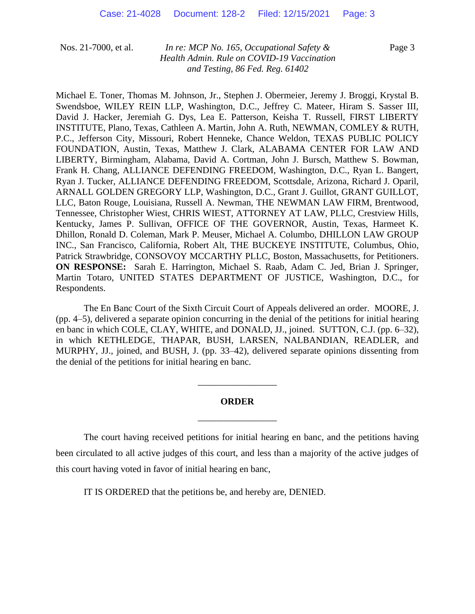Page 3

Michael E. Toner, Thomas M. Johnson, Jr., Stephen J. Obermeier, Jeremy J. Broggi, Krystal B. Swendsboe, WILEY REIN LLP, Washington, D.C., Jeffrey C. Mateer, Hiram S. Sasser III, David J. Hacker, Jeremiah G. Dys, Lea E. Patterson, Keisha T. Russell, FIRST LIBERTY INSTITUTE, Plano, Texas, Cathleen A. Martin, John A. Ruth, NEWMAN, COMLEY & RUTH, P.C., Jefferson City, Missouri, Robert Henneke, Chance Weldon, TEXAS PUBLIC POLICY FOUNDATION, Austin, Texas, Matthew J. Clark, ALABAMA CENTER FOR LAW AND LIBERTY, Birmingham, Alabama, David A. Cortman, John J. Bursch, Matthew S. Bowman, Frank H. Chang, ALLIANCE DEFENDING FREEDOM, Washington, D.C., Ryan L. Bangert, Ryan J. Tucker, ALLIANCE DEFENDING FREEDOM, Scottsdale, Arizona, Richard J. Oparil, ARNALL GOLDEN GREGORY LLP, Washington, D.C., Grant J. Guillot, GRANT GUILLOT, LLC, Baton Rouge, Louisiana, Russell A. Newman, THE NEWMAN LAW FIRM, Brentwood, Tennessee, Christopher Wiest, CHRIS WIEST, ATTORNEY AT LAW, PLLC, Crestview Hills, Kentucky, James P. Sullivan, OFFICE OF THE GOVERNOR, Austin, Texas, Harmeet K. Dhillon, Ronald D. Coleman, Mark P. Meuser, Michael A. Columbo, DHILLON LAW GROUP INC., San Francisco, California, Robert Alt, THE BUCKEYE INSTITUTE, Columbus, Ohio, Patrick Strawbridge, CONSOVOY MCCARTHY PLLC, Boston, Massachusetts, for Petitioners. **ON RESPONSE:** Sarah E. Harrington, Michael S. Raab, Adam C. Jed, Brian J. Springer, Martin Totaro, UNITED STATES DEPARTMENT OF JUSTICE, Washington, D.C., for Respondents.

The En Banc Court of the Sixth Circuit Court of Appeals delivered an order. MOORE, J. (pp.  $4-5$ ), delivered a separate opinion concurring in the denial of the petitions for initial hearing en banc in which COLE, CLAY, WHITE, and DONALD, JJ., joined. SUTTON, C.J. (pp. 6–32), in which KETHLEDGE, THAPAR, BUSH, LARSEN, NALBANDIAN, READLER, and MURPHY, JJ., joined, and BUSH, J. (pp. 33–42), delivered separate opinions dissenting from the denial of the petitions for initial hearing en banc.

# **ORDER** \_\_\_\_\_\_\_\_\_\_\_\_\_\_\_\_\_

\_\_\_\_\_\_\_\_\_\_\_\_\_\_\_\_\_

The court having received petitions for initial hearing en banc, and the petitions having been circulated to all active judges of this court, and less than a majority of the active judges of this court having voted in favor of initial hearing en banc,

IT IS ORDERED that the petitions be, and hereby are, DENIED.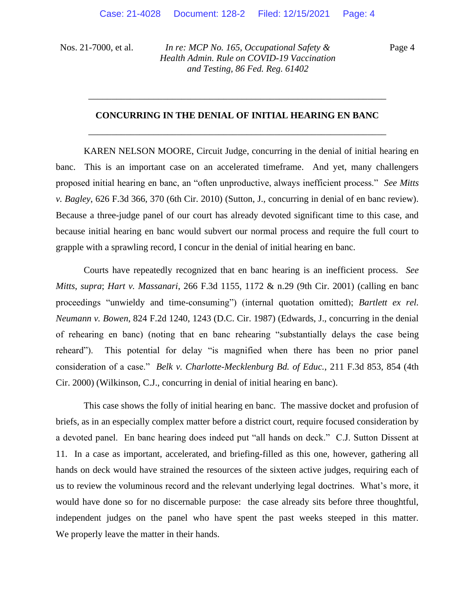Page 4

# **CONCURRING IN THE DENIAL OF INITIAL HEARING EN BANC** \_\_\_\_\_\_\_\_\_\_\_\_\_\_\_\_\_\_\_\_\_\_\_\_\_\_\_\_\_\_\_\_\_\_\_\_\_\_\_\_\_\_\_\_\_\_\_\_\_\_\_\_\_\_\_\_\_\_\_\_\_\_\_\_

\_\_\_\_\_\_\_\_\_\_\_\_\_\_\_\_\_\_\_\_\_\_\_\_\_\_\_\_\_\_\_\_\_\_\_\_\_\_\_\_\_\_\_\_\_\_\_\_\_\_\_\_\_\_\_\_\_\_\_\_\_\_\_\_

KAREN NELSON MOORE, Circuit Judge, concurring in the denial of initial hearing en banc. This is an important case on an accelerated timeframe. And yet, many challengers proposed initial hearing en banc, an "often unproductive, always inefficient process." *See Mitts v. Bagley*, 626 F.3d 366, 370 (6th Cir. 2010) (Sutton, J., concurring in denial of en banc review). Because a three-judge panel of our court has already devoted significant time to this case, and because initial hearing en banc would subvert our normal process and require the full court to grapple with a sprawling record, I concur in the denial of initial hearing en banc.

Courts have repeatedly recognized that en banc hearing is an inefficient process. *See Mitts*, *supra*; *Hart v. Massanari*, 266 F.3d 1155, 1172 & n.29 (9th Cir. 2001) (calling en banc proceedings "unwieldy and time-consuming") (internal quotation omitted); *Bartlett ex rel. Neumann v. Bowen*, 824 F.2d 1240, 1243 (D.C. Cir. 1987) (Edwards, J., concurring in the denial of rehearing en banc) (noting that en banc rehearing "substantially delays the case being reheard"). This potential for delay "is magnified when there has been no prior panel consideration of a case." *Belk v. Charlotte-Mecklenburg Bd. of Educ.*, 211 F.3d 853, 854 (4th Cir. 2000) (Wilkinson, C.J., concurring in denial of initial hearing en banc).

This case shows the folly of initial hearing en banc. The massive docket and profusion of briefs, as in an especially complex matter before a district court, require focused consideration by a devoted panel. En banc hearing does indeed put "all hands on deck." C.J. Sutton Dissent at 11. In a case as important, accelerated, and briefing-filled as this one, however, gathering all hands on deck would have strained the resources of the sixteen active judges, requiring each of us to review the voluminous record and the relevant underlying legal doctrines. What's more, it would have done so for no discernable purpose: the case already sits before three thoughtful, independent judges on the panel who have spent the past weeks steeped in this matter. We properly leave the matter in their hands.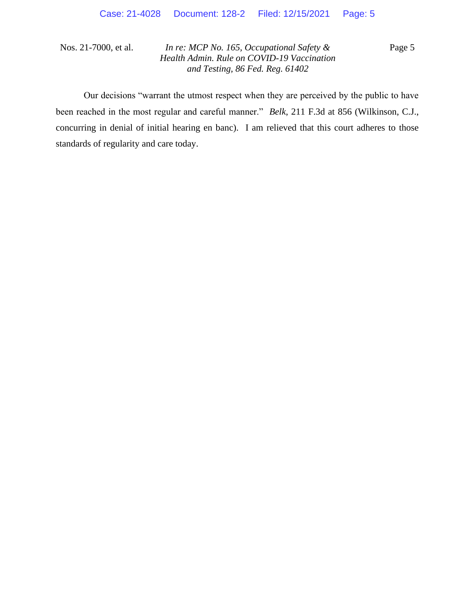Page 5

Our decisions "warrant the utmost respect when they are perceived by the public to have been reached in the most regular and careful manner." *Belk*, 211 F.3d at 856 (Wilkinson, C.J., concurring in denial of initial hearing en banc). I am relieved that this court adheres to those standards of regularity and care today.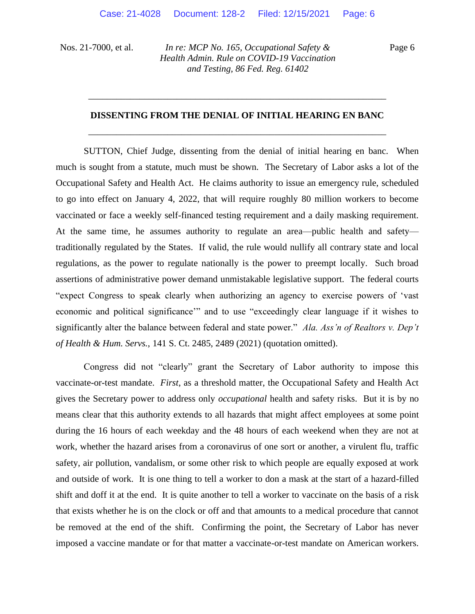Page 6

# **DISSENTING FROM THE DENIAL OF INITIAL HEARING EN BANC**  \_\_\_\_\_\_\_\_\_\_\_\_\_\_\_\_\_\_\_\_\_\_\_\_\_\_\_\_\_\_\_\_\_\_\_\_\_\_\_\_\_\_\_\_\_\_\_\_\_\_\_\_\_\_\_\_\_\_\_\_\_\_\_\_

\_\_\_\_\_\_\_\_\_\_\_\_\_\_\_\_\_\_\_\_\_\_\_\_\_\_\_\_\_\_\_\_\_\_\_\_\_\_\_\_\_\_\_\_\_\_\_\_\_\_\_\_\_\_\_\_\_\_\_\_\_\_\_\_

SUTTON, Chief Judge, dissenting from the denial of initial hearing en banc. When much is sought from a statute, much must be shown. The Secretary of Labor asks a lot of the Occupational Safety and Health Act. He claims authority to issue an emergency rule, scheduled to go into effect on January 4, 2022, that will require roughly 80 million workers to become vaccinated or face a weekly self-financed testing requirement and a daily masking requirement. At the same time, he assumes authority to regulate an area—public health and safety traditionally regulated by the States. If valid, the rule would nullify all contrary state and local regulations, as the power to regulate nationally is the power to preempt locally. Such broad assertions of administrative power demand unmistakable legislative support. The federal courts "expect Congress to speak clearly when authorizing an agency to exercise powers of 'vast economic and political significance'" and to use "exceedingly clear language if it wishes to significantly alter the balance between federal and state power." *Ala. Ass'n of Realtors v. Dep't of Health & Hum. Servs.*, 141 S. Ct. 2485, 2489 (2021) (quotation omitted).

Congress did not "clearly" grant the Secretary of Labor authority to impose this vaccinate-or-test mandate. *First*, as a threshold matter, the Occupational Safety and Health Act gives the Secretary power to address only *occupational* health and safety risks. But it is by no means clear that this authority extends to all hazards that might affect employees at some point during the 16 hours of each weekday and the 48 hours of each weekend when they are not at work, whether the hazard arises from a coronavirus of one sort or another, a virulent flu, traffic safety, air pollution, vandalism, or some other risk to which people are equally exposed at work and outside of work. It is one thing to tell a worker to don a mask at the start of a hazard-filled shift and doff it at the end. It is quite another to tell a worker to vaccinate on the basis of a risk that exists whether he is on the clock or off and that amounts to a medical procedure that cannot be removed at the end of the shift. Confirming the point, the Secretary of Labor has never imposed a vaccine mandate or for that matter a vaccinate-or-test mandate on American workers.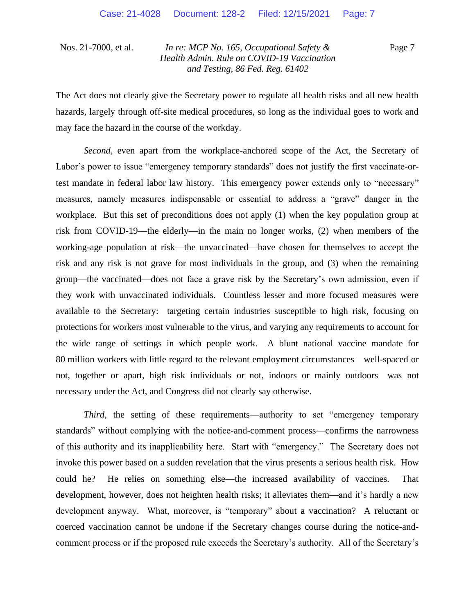Page 7

The Act does not clearly give the Secretary power to regulate all health risks and all new health hazards, largely through off-site medical procedures, so long as the individual goes to work and may face the hazard in the course of the workday.

*Second*, even apart from the workplace-anchored scope of the Act, the Secretary of Labor's power to issue "emergency temporary standards" does not justify the first vaccinate-ortest mandate in federal labor law history. This emergency power extends only to "necessary" measures, namely measures indispensable or essential to address a "grave" danger in the workplace. But this set of preconditions does not apply (1) when the key population group at risk from COVID-19—the elderly—in the main no longer works, (2) when members of the working-age population at risk—the unvaccinated—have chosen for themselves to accept the risk and any risk is not grave for most individuals in the group, and (3) when the remaining group—the vaccinated—does not face a grave risk by the Secretary's own admission, even if they work with unvaccinated individuals. Countless lesser and more focused measures were available to the Secretary: targeting certain industries susceptible to high risk, focusing on protections for workers most vulnerable to the virus, and varying any requirements to account for the wide range of settings in which people work. A blunt national vaccine mandate for 80 million workers with little regard to the relevant employment circumstances—well-spaced or not, together or apart, high risk individuals or not, indoors or mainly outdoors—was not necessary under the Act, and Congress did not clearly say otherwise.

*Third*, the setting of these requirements—authority to set "emergency temporary" standards" without complying with the notice-and-comment process—confirms the narrowness of this authority and its inapplicability here. Start with "emergency." The Secretary does not invoke this power based on a sudden revelation that the virus presents a serious health risk. How could he? He relies on something else—the increased availability of vaccines. That development, however, does not heighten health risks; it alleviates them—and it's hardly a new development anyway. What, moreover, is "temporary" about a vaccination? A reluctant or coerced vaccination cannot be undone if the Secretary changes course during the notice-andcomment process or if the proposed rule exceeds the Secretary's authority. All of the Secretary's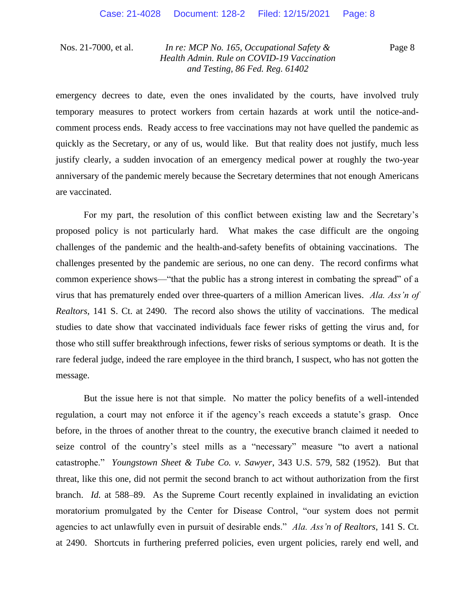Page 8

emergency decrees to date, even the ones invalidated by the courts, have involved truly temporary measures to protect workers from certain hazards at work until the notice-andcomment process ends. Ready access to free vaccinations may not have quelled the pandemic as quickly as the Secretary, or any of us, would like. But that reality does not justify, much less justify clearly, a sudden invocation of an emergency medical power at roughly the two-year anniversary of the pandemic merely because the Secretary determines that not enough Americans are vaccinated.

For my part, the resolution of this conflict between existing law and the Secretary's proposed policy is not particularly hard. What makes the case difficult are the ongoing challenges of the pandemic and the health-and-safety benefits of obtaining vaccinations. The challenges presented by the pandemic are serious, no one can deny. The record confirms what common experience shows—"that the public has a strong interest in combating the spread" of a virus that has prematurely ended over three-quarters of a million American lives. *Ala. Ass'n of Realtors*, 141 S. Ct. at 2490. The record also shows the utility of vaccinations. The medical studies to date show that vaccinated individuals face fewer risks of getting the virus and, for those who still suffer breakthrough infections, fewer risks of serious symptoms or death. It is the rare federal judge, indeed the rare employee in the third branch, I suspect, who has not gotten the message.

But the issue here is not that simple. No matter the policy benefits of a well-intended regulation, a court may not enforce it if the agency's reach exceeds a statute's grasp. Once before, in the throes of another threat to the country, the executive branch claimed it needed to seize control of the country's steel mills as a "necessary" measure "to avert a national catastrophe." *Youngstown Sheet & Tube Co. v. Sawyer*, 343 U.S. 579, 582 (1952). But that threat, like this one, did not permit the second branch to act without authorization from the first branch. *Id.* at 588–89. As the Supreme Court recently explained in invalidating an eviction moratorium promulgated by the Center for Disease Control, "our system does not permit agencies to act unlawfully even in pursuit of desirable ends." *Ala. Ass'n of Realtors*, 141 S. Ct. at 2490. Shortcuts in furthering preferred policies, even urgent policies, rarely end well, and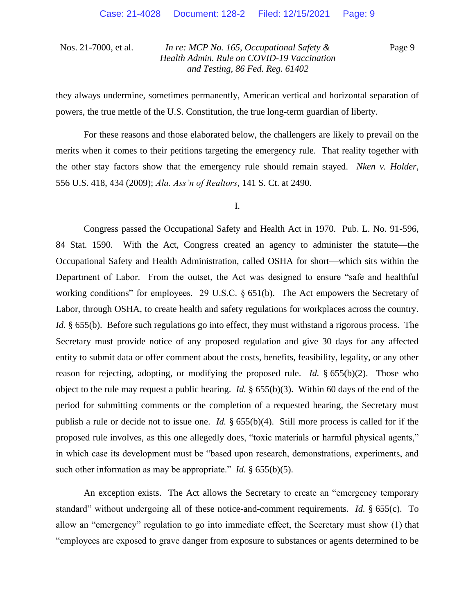Page 9

they always undermine, sometimes permanently, American vertical and horizontal separation of powers, the true mettle of the U.S. Constitution, the true long-term guardian of liberty.

For these reasons and those elaborated below, the challengers are likely to prevail on the merits when it comes to their petitions targeting the emergency rule. That reality together with the other stay factors show that the emergency rule should remain stayed. *Nken v. Holder*, 556 U.S. 418, 434 (2009); *Ala. Ass'n of Realtors*, 141 S. Ct. at 2490.

I.

Congress passed the Occupational Safety and Health Act in 1970. Pub. L. No. 91-596, 84 Stat. 1590. With the Act, Congress created an agency to administer the statute—the Occupational Safety and Health Administration, called OSHA for short—which sits within the Department of Labor. From the outset, the Act was designed to ensure "safe and healthful working conditions" for employees. 29 U.S.C. § 651(b). The Act empowers the Secretary of Labor, through OSHA, to create health and safety regulations for workplaces across the country. *Id.* § 655(b). Before such regulations go into effect, they must withstand a rigorous process. The Secretary must provide notice of any proposed regulation and give 30 days for any affected entity to submit data or offer comment about the costs, benefits, feasibility, legality, or any other reason for rejecting, adopting, or modifying the proposed rule. *Id.* § 655(b)(2). Those who object to the rule may request a public hearing. *Id.* § 655(b)(3). Within 60 days of the end of the period for submitting comments or the completion of a requested hearing, the Secretary must publish a rule or decide not to issue one. *Id.* § 655(b)(4). Still more process is called for if the proposed rule involves, as this one allegedly does, "toxic materials or harmful physical agents," in which case its development must be "based upon research, demonstrations, experiments, and such other information as may be appropriate." *Id.* § 655(b)(5).

An exception exists. The Act allows the Secretary to create an "emergency temporary standard" without undergoing all of these notice-and-comment requirements. *Id.* § 655(c). To allow an "emergency" regulation to go into immediate effect, the Secretary must show (1) that "employees are exposed to grave danger from exposure to substances or agents determined to be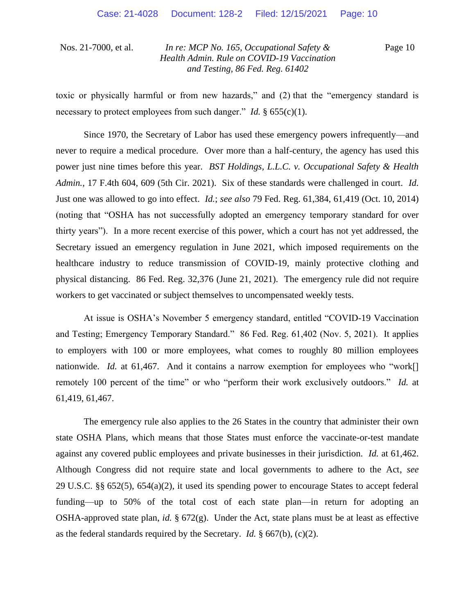Page 10

toxic or physically harmful or from new hazards," and (2) that the "emergency standard is necessary to protect employees from such danger." *Id.* § 655(c)(1).

Since 1970, the Secretary of Labor has used these emergency powers infrequently—and never to require a medical procedure. Over more than a half-century, the agency has used this power just nine times before this year. *BST Holdings, L.L.C. v. Occupational Safety & Health Admin.*, 17 F.4th 604, 609 (5th Cir. 2021). Six of these standards were challenged in court. *Id.* Just one was allowed to go into effect. *Id.*; *see also* 79 Fed. Reg. 61,384, 61,419 (Oct. 10, 2014) (noting that "OSHA has not successfully adopted an emergency temporary standard for over thirty years").In a more recent exercise of this power, which a court has not yet addressed, the Secretary issued an emergency regulation in June 2021, which imposed requirements on the healthcare industry to reduce transmission of COVID-19, mainly protective clothing and physical distancing. 86 Fed. Reg. 32,376 (June 21, 2021). The emergency rule did not require workers to get vaccinated or subject themselves to uncompensated weekly tests.

At issue is OSHA's November 5 emergency standard, entitled "COVID-19 Vaccination and Testing; Emergency Temporary Standard." 86 Fed. Reg. 61,402 (Nov. 5, 2021). It applies to employers with 100 or more employees, what comes to roughly 80 million employees nationwide. *Id.* at 61,467. And it contains a narrow exemption for employees who "work<sup>[]</sup> remotely 100 percent of the time" or who "perform their work exclusively outdoors." *Id.* at 61,419, 61,467.

The emergency rule also applies to the 26 States in the country that administer their own state OSHA Plans, which means that those States must enforce the vaccinate-or-test mandate against any covered public employees and private businesses in their jurisdiction. *Id.* at 61,462. Although Congress did not require state and local governments to adhere to the Act, *see* 29 U.S.C. §§ 652(5), 654(a)(2), it used its spending power to encourage States to accept federal funding—up to 50% of the total cost of each state plan—in return for adopting an OSHA-approved state plan, *id.* § 672(g). Under the Act, state plans must be at least as effective as the federal standards required by the Secretary. *Id.* § 667(b), (c)(2).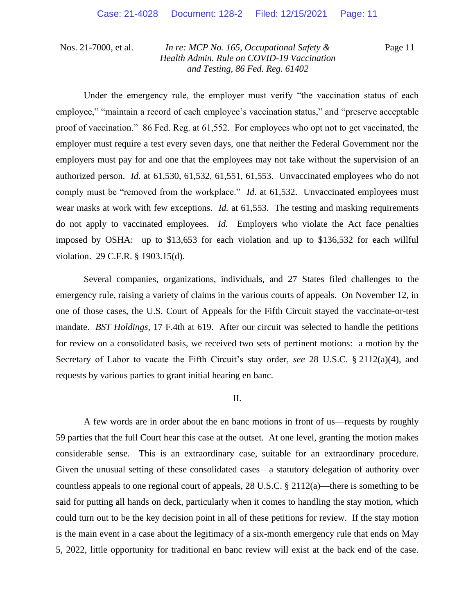Page 11

Under the emergency rule, the employer must verify "the vaccination status of each employee," "maintain a record of each employee's vaccination status," and "preserve acceptable proof of vaccination." 86 Fed. Reg. at 61,552. For employees who opt not to get vaccinated, the employer must require a test every seven days, one that neither the Federal Government nor the employers must pay for and one that the employees may not take without the supervision of an authorized person. *Id.* at 61,530, 61,532, 61,551, 61,553. Unvaccinated employees who do not comply must be "removed from the workplace." *Id.* at 61,532. Unvaccinated employees must wear masks at work with few exceptions. *Id.* at 61,553. The testing and masking requirements do not apply to vaccinated employees. *Id.* Employers who violate the Act face penalties imposed by OSHA: up to \$13,653 for each violation and up to \$136,532 for each willful violation. 29 C.F.R. § 1903.15(d).

Several companies, organizations, individuals, and 27 States filed challenges to the emergency rule, raising a variety of claims in the various courts of appeals. On November 12, in one of those cases, the U.S. Court of Appeals for the Fifth Circuit stayed the vaccinate-or-test mandate. *BST Holdings*, 17 F.4th at 619. After our circuit was selected to handle the petitions for review on a consolidated basis, we received two sets of pertinent motions: a motion by the Secretary of Labor to vacate the Fifth Circuit's stay order, *see* 28 U.S.C. § 2112(a)(4), and requests by various parties to grant initial hearing en banc.

#### II.

A few words are in order about the en banc motions in front of us—requests by roughly 59 parties that the full Court hear this case at the outset. At one level, granting the motion makes considerable sense. This is an extraordinary case, suitable for an extraordinary procedure. Given the unusual setting of these consolidated cases—a statutory delegation of authority over countless appeals to one regional court of appeals, 28 U.S.C. § 2112(a)—there is something to be said for putting all hands on deck, particularly when it comes to handling the stay motion, which could turn out to be the key decision point in all of these petitions for review. If the stay motion is the main event in a case about the legitimacy of a six-month emergency rule that ends on May 5, 2022, little opportunity for traditional en banc review will exist at the back end of the case.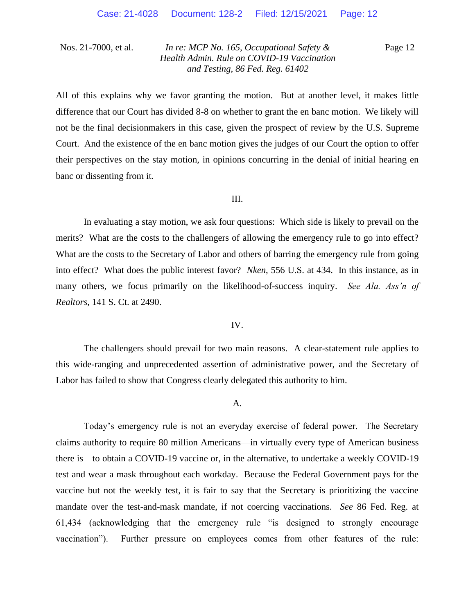Page 12

All of this explains why we favor granting the motion. But at another level, it makes little difference that our Court has divided 8-8 on whether to grant the en banc motion. We likely will not be the final decisionmakers in this case, given the prospect of review by the U.S. Supreme Court. And the existence of the en banc motion gives the judges of our Court the option to offer their perspectives on the stay motion, in opinions concurring in the denial of initial hearing en banc or dissenting from it.

#### III.

In evaluating a stay motion, we ask four questions: Which side is likely to prevail on the merits? What are the costs to the challengers of allowing the emergency rule to go into effect? What are the costs to the Secretary of Labor and others of barring the emergency rule from going into effect? What does the public interest favor? *Nken*, 556 U.S. at 434. In this instance, as in many others, we focus primarily on the likelihood-of-success inquiry. *See Ala. Ass'n of Realtors*, 141 S. Ct. at 2490.

#### IV.

The challengers should prevail for two main reasons. A clear-statement rule applies to this wide-ranging and unprecedented assertion of administrative power, and the Secretary of Labor has failed to show that Congress clearly delegated this authority to him.

#### A.

Today's emergency rule is not an everyday exercise of federal power. The Secretary claims authority to require 80 million Americans—in virtually every type of American business there is—to obtain a COVID-19 vaccine or, in the alternative, to undertake a weekly COVID-19 test and wear a mask throughout each workday. Because the Federal Government pays for the vaccine but not the weekly test, it is fair to say that the Secretary is prioritizing the vaccine mandate over the test-and-mask mandate, if not coercing vaccinations. *See* 86 Fed. Reg. at 61,434 (acknowledging that the emergency rule "is designed to strongly encourage vaccination"). Further pressure on employees comes from other features of the rule: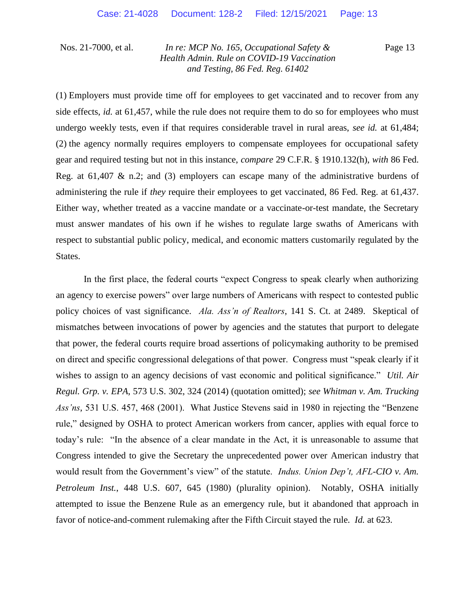Page 13

(1) Employers must provide time off for employees to get vaccinated and to recover from any side effects, *id.* at 61,457, while the rule does not require them to do so for employees who must undergo weekly tests, even if that requires considerable travel in rural areas, *see id.* at 61,484; (2) the agency normally requires employers to compensate employees for occupational safety gear and required testing but not in this instance, *compare* 29 C.F.R. § 1910.132(h), *with* 86 Fed. Reg. at 61,407  $\&$  n.2; and (3) employers can escape many of the administrative burdens of administering the rule if *they* require their employees to get vaccinated, 86 Fed. Reg. at 61,437. Either way, whether treated as a vaccine mandate or a vaccinate-or-test mandate, the Secretary must answer mandates of his own if he wishes to regulate large swaths of Americans with respect to substantial public policy, medical, and economic matters customarily regulated by the States.

In the first place, the federal courts "expect Congress to speak clearly when authorizing an agency to exercise powers" over large numbers of Americans with respect to contested public policy choices of vast significance. *Ala. Ass'n of Realtors*, 141 S. Ct. at 2489. Skeptical of mismatches between invocations of power by agencies and the statutes that purport to delegate that power, the federal courts require broad assertions of policymaking authority to be premised on direct and specific congressional delegations of that power. Congress must "speak clearly if it wishes to assign to an agency decisions of vast economic and political significance." *Util. Air Regul. Grp. v. EPA*, 573 U.S. 302, 324 (2014) (quotation omitted); *see Whitman v. Am. Trucking Ass'ns*, 531 U.S. 457, 468 (2001). What Justice Stevens said in 1980 in rejecting the "Benzene rule," designed by OSHA to protect American workers from cancer, applies with equal force to today's rule: "In the absence of a clear mandate in the Act, it is unreasonable to assume that Congress intended to give the Secretary the unprecedented power over American industry that would result from the Government's view" of the statute. *Indus. Union Dep't, AFL-CIO v. Am. Petroleum Inst.*, 448 U.S. 607, 645 (1980) (plurality opinion). Notably, OSHA initially attempted to issue the Benzene Rule as an emergency rule, but it abandoned that approach in favor of notice-and-comment rulemaking after the Fifth Circuit stayed the rule. *Id.* at 623.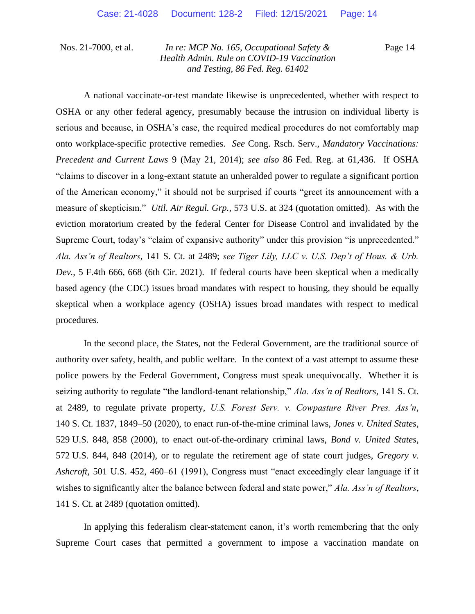Page 14

A national vaccinate-or-test mandate likewise is unprecedented, whether with respect to OSHA or any other federal agency, presumably because the intrusion on individual liberty is serious and because, in OSHA's case, the required medical procedures do not comfortably map onto workplace-specific protective remedies. *See* Cong. Rsch. Serv., *Mandatory Vaccinations: Precedent and Current Laws* 9 (May 21, 2014); *see also* 86 Fed. Reg. at 61,436. If OSHA "claims to discover in a long-extant statute an unheralded power to regulate a significant portion of the American economy," it should not be surprised if courts "greet its announcement with a measure of skepticism." *Util. Air Regul. Grp.*, 573 U.S. at 324 (quotation omitted). As with the eviction moratorium created by the federal Center for Disease Control and invalidated by the Supreme Court, today's "claim of expansive authority" under this provision "is unprecedented." *Ala. Ass'n of Realtors*, 141 S. Ct. at 2489; *see Tiger Lily, LLC v. U.S. Dep't of Hous. & Urb. Dev.*, 5 F.4th 666, 668 (6th Cir. 2021). If federal courts have been skeptical when a medically based agency (the CDC) issues broad mandates with respect to housing, they should be equally skeptical when a workplace agency (OSHA) issues broad mandates with respect to medical procedures.

In the second place, the States, not the Federal Government, are the traditional source of authority over safety, health, and public welfare. In the context of a vast attempt to assume these police powers by the Federal Government, Congress must speak unequivocally. Whether it is seizing authority to regulate "the landlord-tenant relationship," *Ala. Ass'n of Realtors*, 141 S. Ct. at 2489, to regulate private property, *U.S. Forest Serv. v. Cowpasture River Pres. Ass'n*, 140 S. Ct. 1837, 1849–50 (2020), to enact run-of-the-mine criminal laws, *Jones v. United States*, 529 U.S. 848, 858 (2000), to enact out-of-the-ordinary criminal laws, *Bond v. United States*, 572 U.S. 844, 848 (2014), or to regulate the retirement age of state court judges, *Gregory v. Ashcroft*, 501 U.S. 452, 460–61 (1991), Congress must "enact exceedingly clear language if it wishes to significantly alter the balance between federal and state power," *Ala. Ass'n of Realtors*, 141 S. Ct. at 2489 (quotation omitted).

In applying this federalism clear-statement canon, it's worth remembering that the only Supreme Court cases that permitted a government to impose a vaccination mandate on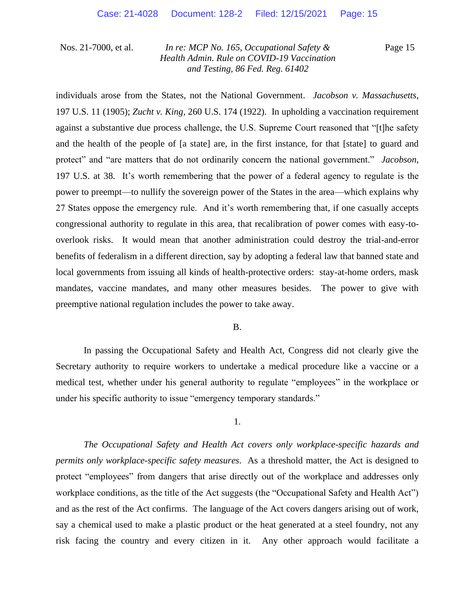Page 15

individuals arose from the States, not the National Government. *Jacobson v. Massachusetts*, 197 U.S. 11 (1905); *Zucht v. King*, 260 U.S. 174 (1922). In upholding a vaccination requirement against a substantive due process challenge, the U.S. Supreme Court reasoned that "[t]he safety and the health of the people of [a state] are, in the first instance, for that [state] to guard and protect" and "are matters that do not ordinarily concern the national government." *Jacobson*, 197 U.S. at 38.It's worth remembering that the power of a federal agency to regulate is the power to preempt—to nullify the sovereign power of the States in the area—which explains why 27 States oppose the emergency rule. And it's worth remembering that, if one casually accepts congressional authority to regulate in this area, that recalibration of power comes with easy-tooverlook risks. It would mean that another administration could destroy the trial-and-error benefits of federalism in a different direction, say by adopting a federal law that banned state and local governments from issuing all kinds of health-protective orders: stay-at-home orders, mask mandates, vaccine mandates, and many other measures besides. The power to give with preemptive national regulation includes the power to take away.

#### B.

In passing the Occupational Safety and Health Act, Congress did not clearly give the Secretary authority to require workers to undertake a medical procedure like a vaccine or a medical test, whether under his general authority to regulate "employees" in the workplace or under his specific authority to issue "emergency temporary standards."

#### 1.

*The Occupational Safety and Health Act covers only workplace-specific hazards and permits only workplace-specific safety measures*. As a threshold matter, the Act is designed to protect "employees" from dangers that arise directly out of the workplace and addresses only workplace conditions, as the title of the Act suggests (the "Occupational Safety and Health Act") and as the rest of the Act confirms. The language of the Act covers dangers arising out of work, say a chemical used to make a plastic product or the heat generated at a steel foundry, not any risk facing the country and every citizen in it. Any other approach would facilitate a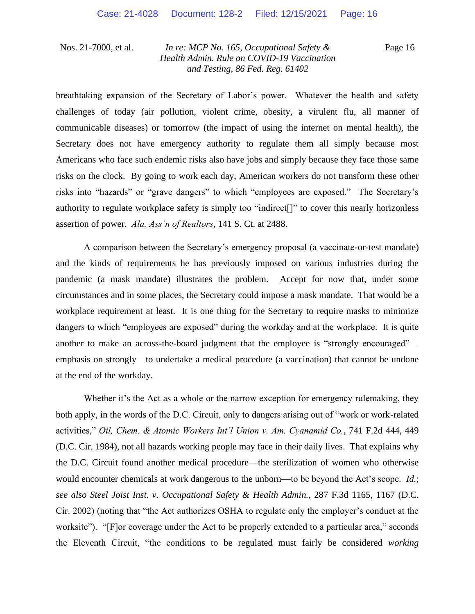Page 16

breathtaking expansion of the Secretary of Labor's power. Whatever the health and safety challenges of today (air pollution, violent crime, obesity, a virulent flu, all manner of communicable diseases) or tomorrow (the impact of using the internet on mental health), the Secretary does not have emergency authority to regulate them all simply because most Americans who face such endemic risks also have jobs and simply because they face those same risks on the clock. By going to work each day, American workers do not transform these other risks into "hazards" or "grave dangers" to which "employees are exposed." The Secretary's authority to regulate workplace safety is simply too "indirect[]" to cover this nearly horizonless assertion of power. *Ala. Ass'n of Realtors*, 141 S. Ct. at 2488.

A comparison between the Secretary's emergency proposal (a vaccinate-or-test mandate) and the kinds of requirements he has previously imposed on various industries during the pandemic (a mask mandate) illustrates the problem. Accept for now that, under some circumstances and in some places, the Secretary could impose a mask mandate. That would be a workplace requirement at least. It is one thing for the Secretary to require masks to minimize dangers to which "employees are exposed" during the workday and at the workplace. It is quite another to make an across-the-board judgment that the employee is "strongly encouraged" emphasis on strongly—to undertake a medical procedure (a vaccination) that cannot be undone at the end of the workday.

Whether it's the Act as a whole or the narrow exception for emergency rulemaking, they both apply, in the words of the D.C. Circuit, only to dangers arising out of "work or work-related activities," *Oil, Chem. & Atomic Workers Int'l Union v. Am. Cyanamid Co.*, 741 F.2d 444, 449 (D.C. Cir. 1984), not all hazards working people may face in their daily lives. That explains why the D.C. Circuit found another medical procedure—the sterilization of women who otherwise would encounter chemicals at work dangerous to the unborn—to be beyond the Act's scope. *Id.*; *see also Steel Joist Inst. v. Occupational Safety & Health Admin.*, 287 F.3d 1165, 1167 (D.C. Cir. 2002) (noting that "the Act authorizes OSHA to regulate only the employer's conduct at the worksite"). "[F]or coverage under the Act to be properly extended to a particular area," seconds the Eleventh Circuit, "the conditions to be regulated must fairly be considered *working*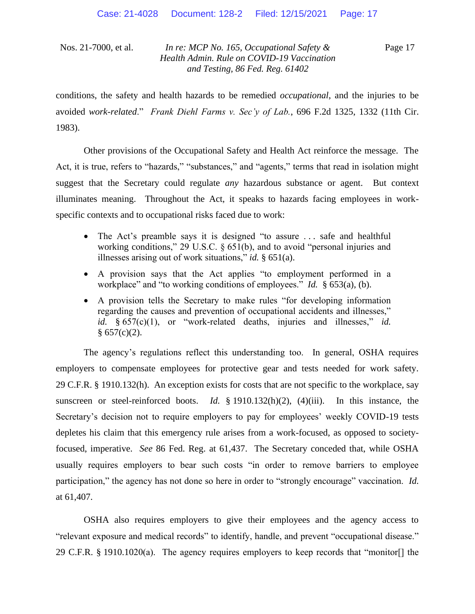Page 17

conditions, the safety and health hazards to be remedied *occupational*, and the injuries to be avoided *work-related*." *Frank Diehl Farms v. Sec'y of Lab.*, 696 F.2d 1325, 1332 (11th Cir. 1983).

Other provisions of the Occupational Safety and Health Act reinforce the message. The Act, it is true, refers to "hazards," "substances," and "agents," terms that read in isolation might suggest that the Secretary could regulate *any* hazardous substance or agent. But context illuminates meaning. Throughout the Act, it speaks to hazards facing employees in workspecific contexts and to occupational risks faced due to work:

- The Act's preamble says it is designed "to assure ... safe and healthful working conditions," 29 U.S.C. § 651(b), and to avoid "personal injuries and illnesses arising out of work situations," *id.* § 651(a).
- A provision says that the Act applies "to employment performed in a workplace" and "to working conditions of employees." *Id.* § 653(a), (b).
- A provision tells the Secretary to make rules "for developing information regarding the causes and prevention of occupational accidents and illnesses," *id.* § 657(c)(1), or "work-related deaths, injuries and illnesses," *id.*  $§ 657(c)(2).$

The agency's regulations reflect this understanding too. In general, OSHA requires employers to compensate employees for protective gear and tests needed for work safety. 29 C.F.R. § 1910.132(h). An exception exists for costs that are not specific to the workplace, say sunscreen or steel-reinforced boots. *Id.* § 1910.132(h)(2), (4)(iii). In this instance, the Secretary's decision not to require employers to pay for employees' weekly COVID-19 tests depletes his claim that this emergency rule arises from a work-focused, as opposed to societyfocused, imperative. *See* 86 Fed. Reg. at 61,437. The Secretary conceded that, while OSHA usually requires employers to bear such costs "in order to remove barriers to employee participation," the agency has not done so here in order to "strongly encourage" vaccination. *Id.* at 61,407.

OSHA also requires employers to give their employees and the agency access to "relevant exposure and medical records" to identify, handle, and prevent "occupational disease." 29 C.F.R. § 1910.1020(a). The agency requires employers to keep records that "monitor[] the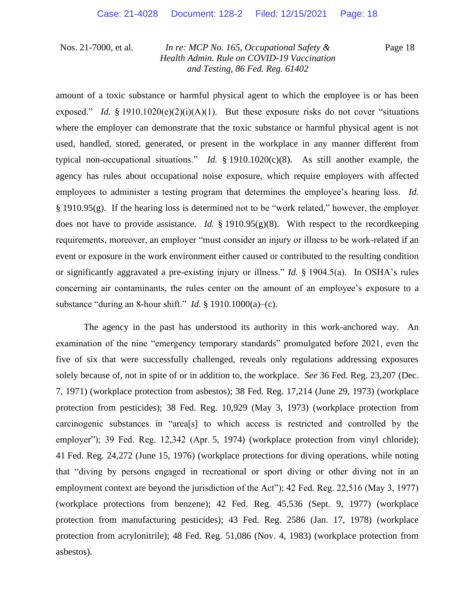Page 18

amount of a toxic substance or harmful physical agent to which the employee is or has been exposed." *Id.* § 1910.1020(e)(2)(i)(A)(1). But these exposure risks do not cover "situations" where the employer can demonstrate that the toxic substance or harmful physical agent is not used, handled, stored, generated, or present in the workplace in any manner different from typical non-occupational situations." *Id.* § 1910.1020(c)(8). As still another example, the agency has rules about occupational noise exposure, which require employers with affected employees to administer a testing program that determines the employee's hearing loss. *Id.* § 1910.95(g). If the hearing loss is determined not to be "work related," however, the employer does not have to provide assistance. *Id.* § 1910.95(g)(8). With respect to the recordkeeping requirements, moreover, an employer "must consider an injury or illness to be work-related if an event or exposure in the work environment either caused or contributed to the resulting condition or significantly aggravated a pre-existing injury or illness." *Id.* § 1904.5(a). In OSHA's rules concerning air contaminants, the rules center on the amount of an employee's exposure to a substance "during an 8-hour shift." *Id.* § 1910.1000(a)–(c).

The agency in the past has understood its authority in this work-anchored way. An examination of the nine "emergency temporary standards" promulgated before 2021, even the five of six that were successfully challenged, reveals only regulations addressing exposures solely because of, not in spite of or in addition to, the workplace. *See* 36 Fed. Reg. 23,207 (Dec. 7, 1971) (workplace protection from asbestos); 38 Fed. Reg. 17,214 (June 29, 1973) (workplace protection from pesticides); 38 Fed. Reg. 10,929 (May 3, 1973) (workplace protection from carcinogenic substances in "area[s] to which access is restricted and controlled by the employer"); 39 Fed. Reg. 12,342 (Apr. 5, 1974) (workplace protection from vinyl chloride); 41 Fed. Reg. 24,272 (June 15, 1976) (workplace protections for diving operations, while noting that "diving by persons engaged in recreational or sport diving or other diving not in an employment context are beyond the jurisdiction of the Act"); 42 Fed. Reg. 22,516 (May 3, 1977) (workplace protections from benzene); 42 Fed. Reg. 45,536 (Sept. 9, 1977) (workplace protection from manufacturing pesticides); 43 Fed. Reg. 2586 (Jan. 17, 1978) (workplace protection from acrylonitrile); 48 Fed. Reg. 51,086 (Nov. 4, 1983) (workplace protection from asbestos).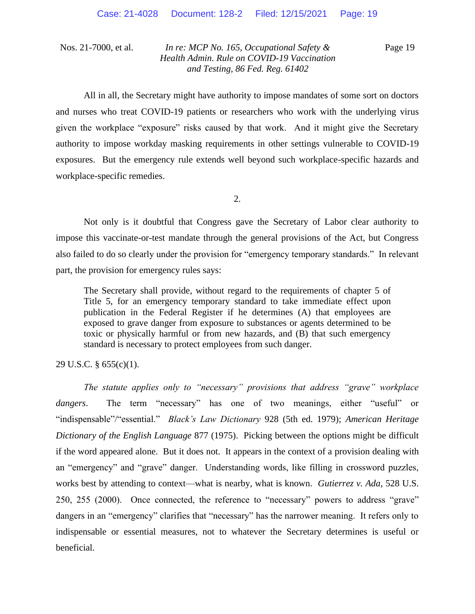Page 19

All in all, the Secretary might have authority to impose mandates of some sort on doctors and nurses who treat COVID-19 patients or researchers who work with the underlying virus given the workplace "exposure" risks caused by that work. And it might give the Secretary authority to impose workday masking requirements in other settings vulnerable to COVID-19 exposures. But the emergency rule extends well beyond such workplace-specific hazards and workplace-specific remedies.

2.

Not only is it doubtful that Congress gave the Secretary of Labor clear authority to impose this vaccinate-or-test mandate through the general provisions of the Act, but Congress also failed to do so clearly under the provision for "emergency temporary standards." In relevant part, the provision for emergency rules says:

The Secretary shall provide, without regard to the requirements of chapter 5 of Title 5, for an emergency temporary standard to take immediate effect upon publication in the Federal Register if he determines (A) that employees are exposed to grave danger from exposure to substances or agents determined to be toxic or physically harmful or from new hazards, and (B) that such emergency standard is necessary to protect employees from such danger.

#### 29 U.S.C. § 655(c)(1).

*The statute applies only to "necessary" provisions that address "grave" workplace dangers*.The term "necessary" has one of two meanings, either "useful" or "indispensable"/"essential." *Black's Law Dictionary* 928 (5th ed. 1979); *American Heritage Dictionary of the English Language* 877 (1975). Picking between the options might be difficult if the word appeared alone. But it does not. It appears in the context of a provision dealing with an "emergency" and "grave" danger. Understanding words, like filling in crossword puzzles, works best by attending to context—what is nearby, what is known. *Gutierrez v. Ada*, 528 U.S. 250, 255 (2000). Once connected, the reference to "necessary" powers to address "grave" dangers in an "emergency" clarifies that "necessary" has the narrower meaning. It refers only to indispensable or essential measures, not to whatever the Secretary determines is useful or beneficial.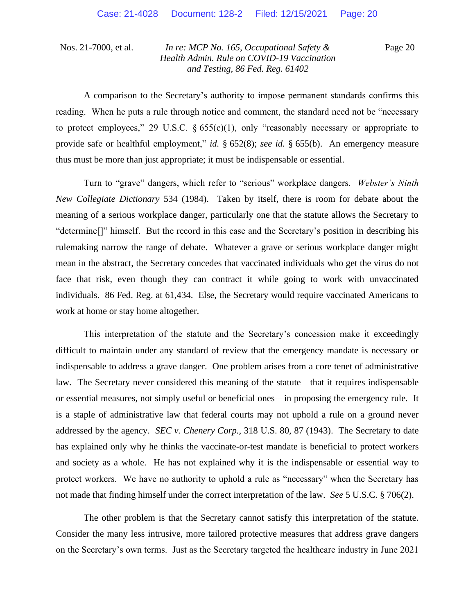Page 20

A comparison to the Secretary's authority to impose permanent standards confirms this reading. When he puts a rule through notice and comment, the standard need not be "necessary to protect employees," 29 U.S.C.  $\S 655(c)(1)$ , only "reasonably necessary or appropriate to provide safe or healthful employment," *id.* § 652(8); *see id.* § 655(b). An emergency measure thus must be more than just appropriate; it must be indispensable or essential.

Turn to "grave" dangers, which refer to "serious" workplace dangers. *Webster's Ninth New Collegiate Dictionary* 534 (1984). Taken by itself, there is room for debate about the meaning of a serious workplace danger, particularly one that the statute allows the Secretary to "determine[]" himself. But the record in this case and the Secretary's position in describing his rulemaking narrow the range of debate. Whatever a grave or serious workplace danger might mean in the abstract, the Secretary concedes that vaccinated individuals who get the virus do not face that risk, even though they can contract it while going to work with unvaccinated individuals. 86 Fed. Reg. at 61,434. Else, the Secretary would require vaccinated Americans to work at home or stay home altogether.

This interpretation of the statute and the Secretary's concession make it exceedingly difficult to maintain under any standard of review that the emergency mandate is necessary or indispensable to address a grave danger. One problem arises from a core tenet of administrative law. The Secretary never considered this meaning of the statute—that it requires indispensable or essential measures, not simply useful or beneficial ones—in proposing the emergency rule. It is a staple of administrative law that federal courts may not uphold a rule on a ground never addressed by the agency. *SEC v. Chenery Corp.*, 318 U.S. 80, 87 (1943). The Secretary to date has explained only why he thinks the vaccinate-or-test mandate is beneficial to protect workers and society as a whole. He has not explained why it is the indispensable or essential way to protect workers. We have no authority to uphold a rule as "necessary" when the Secretary has not made that finding himself under the correct interpretation of the law. *See* 5 U.S.C. § 706(2).

The other problem is that the Secretary cannot satisfy this interpretation of the statute. Consider the many less intrusive, more tailored protective measures that address grave dangers on the Secretary's own terms. Just as the Secretary targeted the healthcare industry in June 2021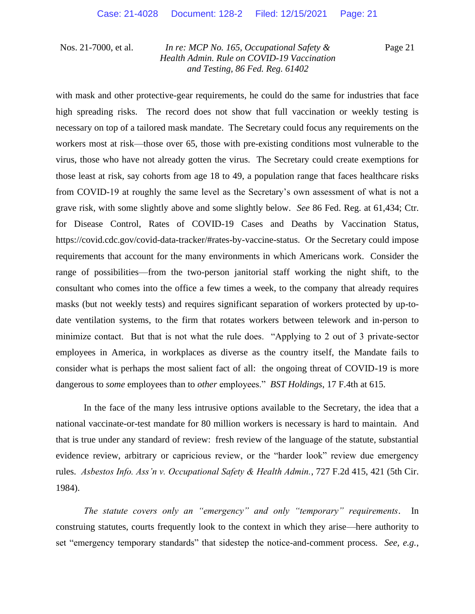Page 21

with mask and other protective-gear requirements, he could do the same for industries that face high spreading risks. The record does not show that full vaccination or weekly testing is necessary on top of a tailored mask mandate. The Secretary could focus any requirements on the workers most at risk—those over 65, those with pre-existing conditions most vulnerable to the virus, those who have not already gotten the virus. The Secretary could create exemptions for those least at risk, say cohorts from age 18 to 49, a population range that faces healthcare risks from COVID-19 at roughly the same level as the Secretary's own assessment of what is not a grave risk, with some slightly above and some slightly below. *See* 86 Fed. Reg. at 61,434; Ctr. for Disease Control, Rates of COVID-19 Cases and Deaths by Vaccination Status, https://covid.cdc.gov/covid-data-tracker/#rates-by-vaccine-status. Or the Secretary could impose requirements that account for the many environments in which Americans work. Consider the range of possibilities—from the two-person janitorial staff working the night shift, to the consultant who comes into the office a few times a week, to the company that already requires masks (but not weekly tests) and requires significant separation of workers protected by up-todate ventilation systems, to the firm that rotates workers between telework and in-person to minimize contact. But that is not what the rule does. "Applying to 2 out of 3 private-sector employees in America, in workplaces as diverse as the country itself, the Mandate fails to consider what is perhaps the most salient fact of all: the ongoing threat of COVID-19 is more dangerous to *some* employees than to *other* employees." *BST Holdings*, 17 F.4th at 615.

In the face of the many less intrusive options available to the Secretary, the idea that a national vaccinate-or-test mandate for 80 million workers is necessary is hard to maintain. And that is true under any standard of review: fresh review of the language of the statute, substantial evidence review, arbitrary or capricious review, or the "harder look" review due emergency rules. *Asbestos Info. Ass'n v. Occupational Safety & Health Admin.*, 727 F.2d 415, 421 (5th Cir. 1984).

*The statute covers only an "emergency" and only "temporary" requirements*. In construing statutes, courts frequently look to the context in which they arise—here authority to set "emergency temporary standards" that sidestep the notice-and-comment process. *See, e.g.*,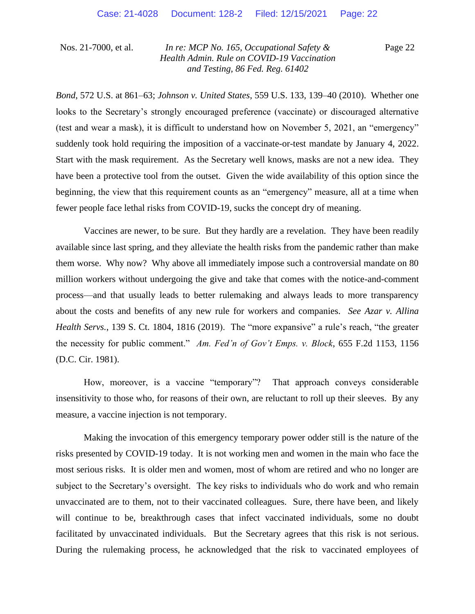Page 22

*Bond*, 572 U.S. at 861–63; *Johnson v. United States*, 559 U.S. 133, 139–40 (2010). Whether one looks to the Secretary's strongly encouraged preference (vaccinate) or discouraged alternative (test and wear a mask), it is difficult to understand how on November 5, 2021, an "emergency" suddenly took hold requiring the imposition of a vaccinate-or-test mandate by January 4, 2022. Start with the mask requirement. As the Secretary well knows, masks are not a new idea. They have been a protective tool from the outset. Given the wide availability of this option since the beginning, the view that this requirement counts as an "emergency" measure, all at a time when fewer people face lethal risks from COVID-19, sucks the concept dry of meaning.

Vaccines are newer, to be sure. But they hardly are a revelation. They have been readily available since last spring, and they alleviate the health risks from the pandemic rather than make them worse. Why now? Why above all immediately impose such a controversial mandate on 80 million workers without undergoing the give and take that comes with the notice-and-comment process—and that usually leads to better rulemaking and always leads to more transparency about the costs and benefits of any new rule for workers and companies. *See Azar v. Allina Health Servs.*, 139 S. Ct. 1804, 1816 (2019). The "more expansive" a rule's reach, "the greater the necessity for public comment." *Am. Fed'n of Gov't Emps. v. Block*, 655 F.2d 1153, 1156 (D.C. Cir. 1981).

How, moreover, is a vaccine "temporary"? That approach conveys considerable insensitivity to those who, for reasons of their own, are reluctant to roll up their sleeves. By any measure, a vaccine injection is not temporary.

Making the invocation of this emergency temporary power odder still is the nature of the risks presented by COVID-19 today. It is not working men and women in the main who face the most serious risks. It is older men and women, most of whom are retired and who no longer are subject to the Secretary's oversight. The key risks to individuals who do work and who remain unvaccinated are to them, not to their vaccinated colleagues. Sure, there have been, and likely will continue to be, breakthrough cases that infect vaccinated individuals, some no doubt facilitated by unvaccinated individuals. But the Secretary agrees that this risk is not serious. During the rulemaking process, he acknowledged that the risk to vaccinated employees of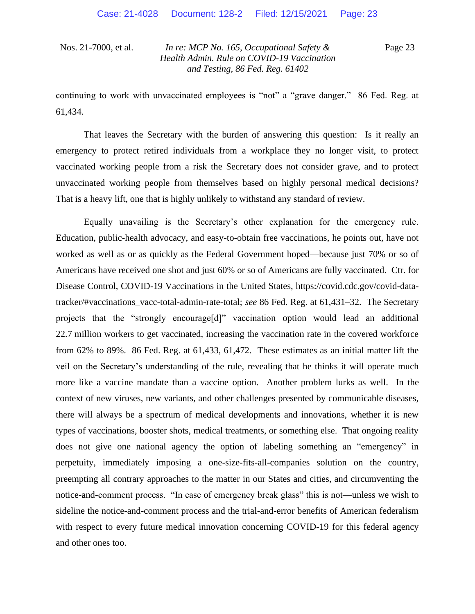Page 23

continuing to work with unvaccinated employees is "not" a "grave danger." 86 Fed. Reg. at 61,434.

That leaves the Secretary with the burden of answering this question: Is it really an emergency to protect retired individuals from a workplace they no longer visit, to protect vaccinated working people from a risk the Secretary does not consider grave, and to protect unvaccinated working people from themselves based on highly personal medical decisions? That is a heavy lift, one that is highly unlikely to withstand any standard of review.

Equally unavailing is the Secretary's other explanation for the emergency rule. Education, public-health advocacy, and easy-to-obtain free vaccinations, he points out, have not worked as well as or as quickly as the Federal Government hoped—because just 70% or so of Americans have received one shot and just 60% or so of Americans are fully vaccinated. Ctr. for Disease Control, COVID-19 Vaccinations in the United States, https://covid.cdc.gov/covid-datatracker/#vaccinations\_vacc-total-admin-rate-total; *see* 86 Fed. Reg. at 61,431–32. The Secretary projects that the "strongly encourage[d]" vaccination option would lead an additional 22.7 million workers to get vaccinated, increasing the vaccination rate in the covered workforce from 62% to 89%. 86 Fed. Reg. at 61,433, 61,472. These estimates as an initial matter lift the veil on the Secretary's understanding of the rule, revealing that he thinks it will operate much more like a vaccine mandate than a vaccine option. Another problem lurks as well. In the context of new viruses, new variants, and other challenges presented by communicable diseases, there will always be a spectrum of medical developments and innovations, whether it is new types of vaccinations, booster shots, medical treatments, or something else. That ongoing reality does not give one national agency the option of labeling something an "emergency" in perpetuity, immediately imposing a one-size-fits-all-companies solution on the country, preempting all contrary approaches to the matter in our States and cities, and circumventing the notice-and-comment process. "In case of emergency break glass" this is not—unless we wish to sideline the notice-and-comment process and the trial-and-error benefits of American federalism with respect to every future medical innovation concerning COVID-19 for this federal agency and other ones too.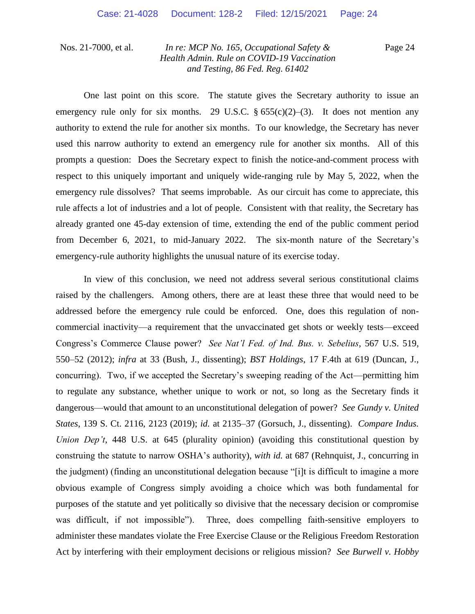Page 24

One last point on this score. The statute gives the Secretary authority to issue an emergency rule only for six months. 29 U.S.C.  $\S 655(c)(2)$ –(3). It does not mention any authority to extend the rule for another six months. To our knowledge, the Secretary has never used this narrow authority to extend an emergency rule for another six months. All of this prompts a question: Does the Secretary expect to finish the notice-and-comment process with respect to this uniquely important and uniquely wide-ranging rule by May 5, 2022, when the emergency rule dissolves? That seems improbable. As our circuit has come to appreciate, this rule affects a lot of industries and a lot of people. Consistent with that reality, the Secretary has already granted one 45-day extension of time, extending the end of the public comment period from December 6, 2021, to mid-January 2022. The six-month nature of the Secretary's emergency-rule authority highlights the unusual nature of its exercise today.

In view of this conclusion, we need not address several serious constitutional claims raised by the challengers. Among others, there are at least these three that would need to be addressed before the emergency rule could be enforced. One, does this regulation of noncommercial inactivity—a requirement that the unvaccinated get shots or weekly tests—exceed Congress's Commerce Clause power? *See Nat'l Fed. of Ind. Bus. v. Sebelius*, 567 U.S. 519, 550–52 (2012); *infra* at 33 (Bush, J., dissenting); *BST Holdings*, 17 F.4th at 619 (Duncan, J., concurring). Two, if we accepted the Secretary's sweeping reading of the Act—permitting him to regulate any substance, whether unique to work or not, so long as the Secretary finds it dangerous—would that amount to an unconstitutional delegation of power? *See Gundy v. United States*, 139 S. Ct. 2116, 2123 (2019); *id.* at 2135–37 (Gorsuch, J., dissenting). *Compare Indus. Union Dep't*, 448 U.S. at 645 (plurality opinion) (avoiding this constitutional question by construing the statute to narrow OSHA's authority), *with id.* at 687 (Rehnquist, J., concurring in the judgment) (finding an unconstitutional delegation because "[i]t is difficult to imagine a more obvious example of Congress simply avoiding a choice which was both fundamental for purposes of the statute and yet politically so divisive that the necessary decision or compromise was difficult, if not impossible"). Three, does compelling faith-sensitive employers to administer these mandates violate the Free Exercise Clause or the Religious Freedom Restoration Act by interfering with their employment decisions or religious mission? *See Burwell v. Hobby*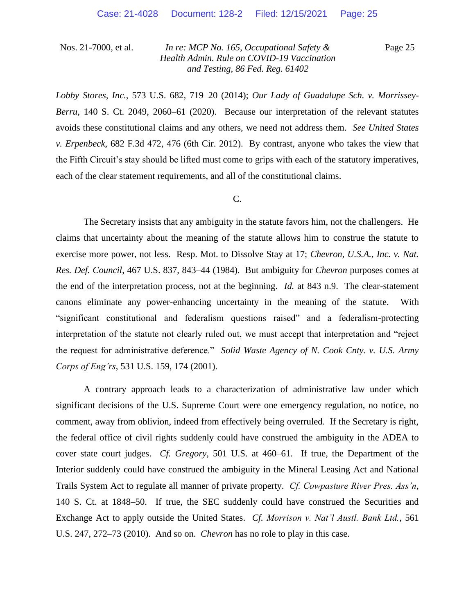Page 25

*Lobby Stores, Inc.*, 573 U.S. 682, 719–20 (2014); *Our Lady of Guadalupe Sch. v. Morrissey-Berru*, 140 S. Ct. 2049, 2060–61 (2020). Because our interpretation of the relevant statutes avoids these constitutional claims and any others, we need not address them. *See United States v. Erpenbeck*, 682 F.3d 472, 476 (6th Cir. 2012). By contrast, anyone who takes the view that the Fifth Circuit's stay should be lifted must come to grips with each of the statutory imperatives, each of the clear statement requirements, and all of the constitutional claims.

#### C.

The Secretary insists that any ambiguity in the statute favors him, not the challengers. He claims that uncertainty about the meaning of the statute allows him to construe the statute to exercise more power, not less. Resp. Mot. to Dissolve Stay at 17; *Chevron, U.S.A., Inc. v. Nat. Res. Def. Council*, 467 U.S. 837, 843–44 (1984). But ambiguity for *Chevron* purposes comes at the end of the interpretation process, not at the beginning. *Id.* at 843 n.9. The clear-statement canons eliminate any power-enhancing uncertainty in the meaning of the statute. With "significant constitutional and federalism questions raised" and a federalism-protecting interpretation of the statute not clearly ruled out, we must accept that interpretation and "reject the request for administrative deference." *Solid Waste Agency of N. Cook Cnty. v. U.S. Army Corps of Eng'rs*, 531 U.S. 159, 174 (2001).

A contrary approach leads to a characterization of administrative law under which significant decisions of the U.S. Supreme Court were one emergency regulation, no notice, no comment, away from oblivion, indeed from effectively being overruled. If the Secretary is right, the federal office of civil rights suddenly could have construed the ambiguity in the ADEA to cover state court judges. *Cf. Gregory*, 501 U.S. at 460–61. If true, the Department of the Interior suddenly could have construed the ambiguity in the Mineral Leasing Act and National Trails System Act to regulate all manner of private property. *Cf. Cowpasture River Pres. Ass'n*, 140 S. Ct. at 1848–50. If true, the SEC suddenly could have construed the Securities and Exchange Act to apply outside the United States. *Cf. Morrison v. Nat'l Austl. Bank Ltd.*, 561 U.S. 247, 272–73 (2010). And so on. *Chevron* has no role to play in this case.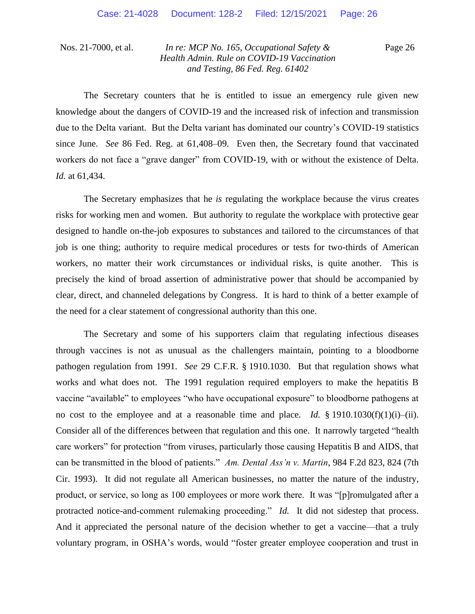Page 26

The Secretary counters that he is entitled to issue an emergency rule given new knowledge about the dangers of COVID-19 and the increased risk of infection and transmission due to the Delta variant. But the Delta variant has dominated our country's COVID-19 statistics since June. *See* 86 Fed. Reg. at 61,408–09. Even then, the Secretary found that vaccinated workers do not face a "grave danger" from COVID-19, with or without the existence of Delta. *Id.* at 61,434.

The Secretary emphasizes that he *is* regulating the workplace because the virus creates risks for working men and women. But authority to regulate the workplace with protective gear designed to handle on-the-job exposures to substances and tailored to the circumstances of that job is one thing; authority to require medical procedures or tests for two-thirds of American workers, no matter their work circumstances or individual risks, is quite another. This is precisely the kind of broad assertion of administrative power that should be accompanied by clear, direct, and channeled delegations by Congress. It is hard to think of a better example of the need for a clear statement of congressional authority than this one.

The Secretary and some of his supporters claim that regulating infectious diseases through vaccines is not as unusual as the challengers maintain, pointing to a bloodborne pathogen regulation from 1991. *See* 29 C.F.R. § 1910.1030. But that regulation shows what works and what does not. The 1991 regulation required employers to make the hepatitis B vaccine "available" to employees "who have occupational exposure" to bloodborne pathogens at no cost to the employee and at a reasonable time and place. *Id.* § 1910.1030(f)(1)(i)–(ii). Consider all of the differences between that regulation and this one. It narrowly targeted "health care workers" for protection "from viruses, particularly those causing Hepatitis B and AIDS, that can be transmitted in the blood of patients." *Am. Dental Ass'n v. Martin*, 984 F.2d 823, 824 (7th Cir. 1993). It did not regulate all American businesses, no matter the nature of the industry, product, or service, so long as 100 employees or more work there. It was "[p]romulgated after a protracted notice-and-comment rulemaking proceeding." *Id.* It did not sidestep that process. And it appreciated the personal nature of the decision whether to get a vaccine—that a truly voluntary program, in OSHA's words, would "foster greater employee cooperation and trust in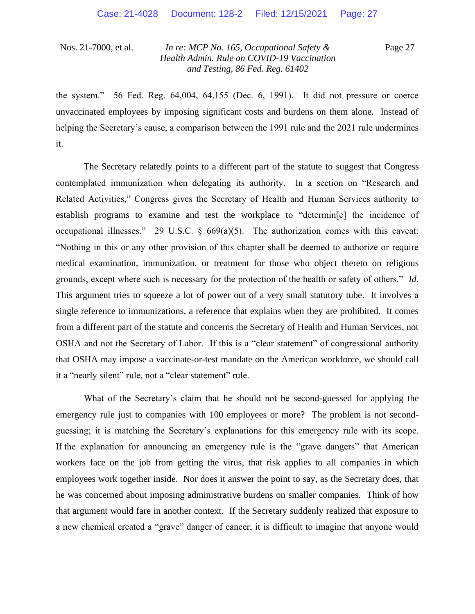Page 27

the system." 56 Fed. Reg. 64,004, 64,155 (Dec. 6, 1991). It did not pressure or coerce unvaccinated employees by imposing significant costs and burdens on them alone. Instead of helping the Secretary's cause, a comparison between the 1991 rule and the 2021 rule undermines it.

The Secretary relatedly points to a different part of the statute to suggest that Congress contemplated immunization when delegating its authority. In a section on "Research and Related Activities," Congress gives the Secretary of Health and Human Services authority to establish programs to examine and test the workplace to "determin[e] the incidence of occupational illnesses." 29 U.S.C.  $\S$  669(a)(5). The authorization comes with this caveat: "Nothing in this or any other provision of this chapter shall be deemed to authorize or require medical examination, immunization, or treatment for those who object thereto on religious grounds, except where such is necessary for the protection of the health or safety of others." *Id.* This argument tries to squeeze a lot of power out of a very small statutory tube. It involves a single reference to immunizations, a reference that explains when they are prohibited. It comes from a different part of the statute and concerns the Secretary of Health and Human Services, not OSHA and not the Secretary of Labor. If this is a "clear statement" of congressional authority that OSHA may impose a vaccinate-or-test mandate on the American workforce, we should call it a "nearly silent" rule, not a "clear statement" rule.

What of the Secretary's claim that he should not be second-guessed for applying the emergency rule just to companies with 100 employees or more? The problem is not secondguessing; it is matching the Secretary's explanations for this emergency rule with its scope. If the explanation for announcing an emergency rule is the "grave dangers" that American workers face on the job from getting the virus, that risk applies to all companies in which employees work together inside. Nor does it answer the point to say, as the Secretary does, that he was concerned about imposing administrative burdens on smaller companies. Think of how that argument would fare in another context. If the Secretary suddenly realized that exposure to a new chemical created a "grave" danger of cancer, it is difficult to imagine that anyone would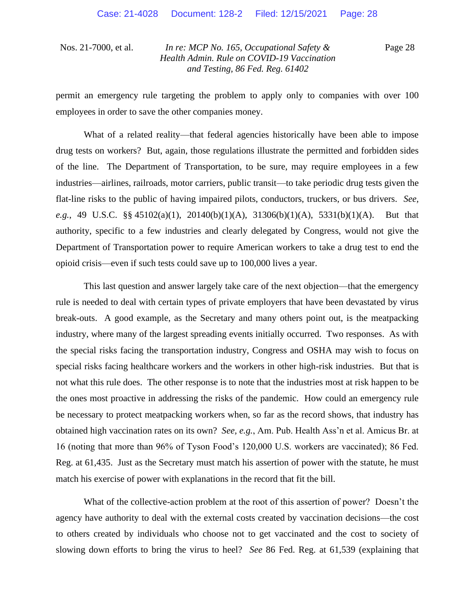Page 28

permit an emergency rule targeting the problem to apply only to companies with over 100 employees in order to save the other companies money.

What of a related reality—that federal agencies historically have been able to impose drug tests on workers? But, again, those regulations illustrate the permitted and forbidden sides of the line. The Department of Transportation, to be sure, may require employees in a few industries—airlines, railroads, motor carriers, public transit—to take periodic drug tests given the flat-line risks to the public of having impaired pilots, conductors, truckers, or bus drivers. *See, e.g.*, 49 U.S.C. §§ 45102(a)(1), 20140(b)(1)(A), 31306(b)(1)(A), 5331(b)(1)(A). But that authority, specific to a few industries and clearly delegated by Congress, would not give the Department of Transportation power to require American workers to take a drug test to end the opioid crisis—even if such tests could save up to 100,000 lives a year.

This last question and answer largely take care of the next objection—that the emergency rule is needed to deal with certain types of private employers that have been devastated by virus break-outs. A good example, as the Secretary and many others point out, is the meatpacking industry, where many of the largest spreading events initially occurred. Two responses. As with the special risks facing the transportation industry, Congress and OSHA may wish to focus on special risks facing healthcare workers and the workers in other high-risk industries. But that is not what this rule does. The other response is to note that the industries most at risk happen to be the ones most proactive in addressing the risks of the pandemic. How could an emergency rule be necessary to protect meatpacking workers when, so far as the record shows, that industry has obtained high vaccination rates on its own? *See, e.g.*, Am. Pub. Health Ass'n et al. Amicus Br. at 16 (noting that more than 96% of Tyson Food's 120,000 U.S. workers are vaccinated); 86 Fed. Reg. at 61,435. Just as the Secretary must match his assertion of power with the statute, he must match his exercise of power with explanations in the record that fit the bill.

What of the collective-action problem at the root of this assertion of power? Doesn't the agency have authority to deal with the external costs created by vaccination decisions—the cost to others created by individuals who choose not to get vaccinated and the cost to society of slowing down efforts to bring the virus to heel? *See* 86 Fed. Reg. at 61,539 (explaining that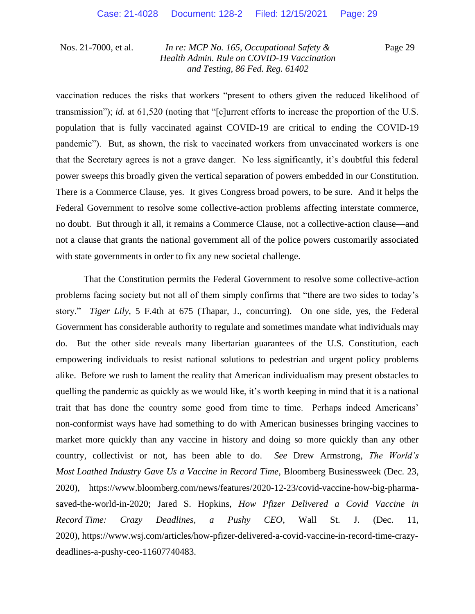Page 29

vaccination reduces the risks that workers "present to others given the reduced likelihood of transmission"); *id.* at 61,520 (noting that "[c]urrent efforts to increase the proportion of the U.S. population that is fully vaccinated against COVID-19 are critical to ending the COVID-19 pandemic"). But, as shown, the risk to vaccinated workers from unvaccinated workers is one that the Secretary agrees is not a grave danger. No less significantly, it's doubtful this federal power sweeps this broadly given the vertical separation of powers embedded in our Constitution. There is a Commerce Clause, yes. It gives Congress broad powers, to be sure. And it helps the Federal Government to resolve some collective-action problems affecting interstate commerce, no doubt. But through it all, it remains a Commerce Clause, not a collective-action clause—and not a clause that grants the national government all of the police powers customarily associated with state governments in order to fix any new societal challenge.

That the Constitution permits the Federal Government to resolve some collective-action problems facing society but not all of them simply confirms that "there are two sides to today's story." *Tiger Lily*, 5 F.4th at 675 (Thapar, J., concurring). On one side, yes, the Federal Government has considerable authority to regulate and sometimes mandate what individuals may do. But the other side reveals many libertarian guarantees of the U.S. Constitution, each empowering individuals to resist national solutions to pedestrian and urgent policy problems alike. Before we rush to lament the reality that American individualism may present obstacles to quelling the pandemic as quickly as we would like, it's worth keeping in mind that it is a national trait that has done the country some good from time to time. Perhaps indeed Americans' non-conformist ways have had something to do with American businesses bringing vaccines to market more quickly than any vaccine in history and doing so more quickly than any other country, collectivist or not, has been able to do. *See* Drew Armstrong, *The World's Most Loathed Industry Gave Us a Vaccine in Record Time*, Bloomberg Businessweek (Dec. 23, 2020), https://www.bloomberg.com/news/features/2020-12-23/covid-vaccine-how-big-pharmasaved-the-world-in-2020; Jared S. Hopkins, *How Pfizer Delivered a Covid Vaccine in Record Time: Crazy Deadlines, a Pushy CEO*, Wall St. J. (Dec. 11, 2020), https://www.wsj.com/articles/how-pfizer-delivered-a-covid-vaccine-in-record-time-crazydeadlines-a-pushy-ceo-11607740483.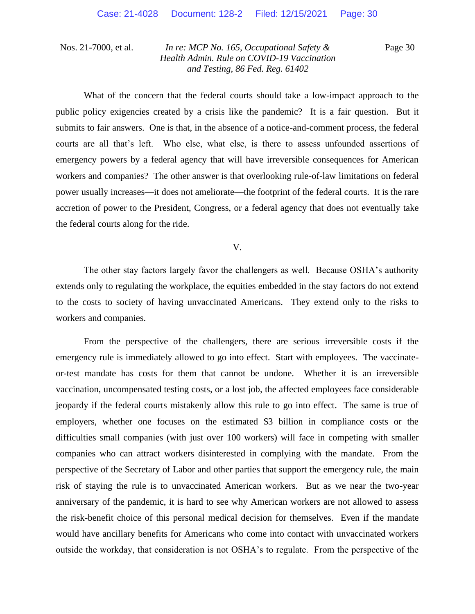Page 30

What of the concern that the federal courts should take a low-impact approach to the public policy exigencies created by a crisis like the pandemic? It is a fair question. But it submits to fair answers. One is that, in the absence of a notice-and-comment process, the federal courts are all that's left. Who else, what else, is there to assess unfounded assertions of emergency powers by a federal agency that will have irreversible consequences for American workers and companies? The other answer is that overlooking rule-of-law limitations on federal power usually increases—it does not ameliorate—the footprint of the federal courts. It is the rare accretion of power to the President, Congress, or a federal agency that does not eventually take the federal courts along for the ride.

V.

The other stay factors largely favor the challengers as well. Because OSHA's authority extends only to regulating the workplace, the equities embedded in the stay factors do not extend to the costs to society of having unvaccinated Americans. They extend only to the risks to workers and companies.

From the perspective of the challengers, there are serious irreversible costs if the emergency rule is immediately allowed to go into effect. Start with employees. The vaccinateor-test mandate has costs for them that cannot be undone. Whether it is an irreversible vaccination, uncompensated testing costs, or a lost job, the affected employees face considerable jeopardy if the federal courts mistakenly allow this rule to go into effect. The same is true of employers, whether one focuses on the estimated \$3 billion in compliance costs or the difficulties small companies (with just over 100 workers) will face in competing with smaller companies who can attract workers disinterested in complying with the mandate. From the perspective of the Secretary of Labor and other parties that support the emergency rule, the main risk of staying the rule is to unvaccinated American workers. But as we near the two-year anniversary of the pandemic, it is hard to see why American workers are not allowed to assess the risk-benefit choice of this personal medical decision for themselves. Even if the mandate would have ancillary benefits for Americans who come into contact with unvaccinated workers outside the workday, that consideration is not OSHA's to regulate. From the perspective of the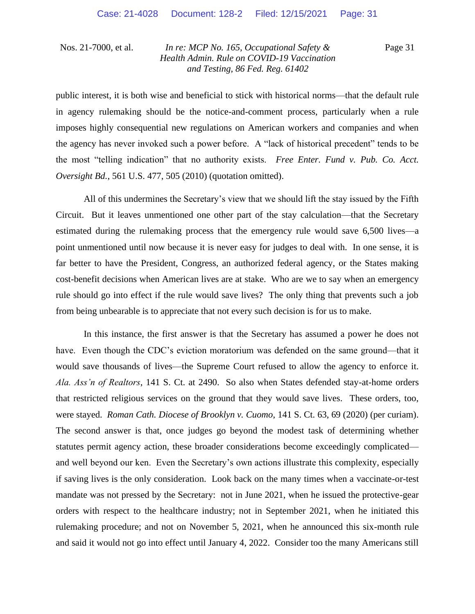Page 31

public interest, it is both wise and beneficial to stick with historical norms—that the default rule in agency rulemaking should be the notice-and-comment process, particularly when a rule imposes highly consequential new regulations on American workers and companies and when the agency has never invoked such a power before. A "lack of historical precedent" tends to be the most "telling indication" that no authority exists. *Free Enter. Fund v. Pub. Co. Acct. Oversight Bd.*, 561 U.S. 477, 505 (2010) (quotation omitted).

All of this undermines the Secretary's view that we should lift the stay issued by the Fifth Circuit. But it leaves unmentioned one other part of the stay calculation—that the Secretary estimated during the rulemaking process that the emergency rule would save 6,500 lives—a point unmentioned until now because it is never easy for judges to deal with. In one sense, it is far better to have the President, Congress, an authorized federal agency, or the States making cost-benefit decisions when American lives are at stake. Who are we to say when an emergency rule should go into effect if the rule would save lives? The only thing that prevents such a job from being unbearable is to appreciate that not every such decision is for us to make.

In this instance, the first answer is that the Secretary has assumed a power he does not have. Even though the CDC's eviction moratorium was defended on the same ground—that it would save thousands of lives—the Supreme Court refused to allow the agency to enforce it. *Ala. Ass'n of Realtors*, 141 S. Ct. at 2490. So also when States defended stay-at-home orders that restricted religious services on the ground that they would save lives. These orders, too, were stayed. *Roman Cath. Diocese of Brooklyn v. Cuomo*, 141 S. Ct. 63, 69 (2020) (per curiam). The second answer is that, once judges go beyond the modest task of determining whether statutes permit agency action, these broader considerations become exceedingly complicated and well beyond our ken. Even the Secretary's own actions illustrate this complexity, especially if saving lives is the only consideration. Look back on the many times when a vaccinate-or-test mandate was not pressed by the Secretary: not in June 2021, when he issued the protective-gear orders with respect to the healthcare industry; not in September 2021, when he initiated this rulemaking procedure; and not on November 5, 2021, when he announced this six-month rule and said it would not go into effect until January 4, 2022. Consider too the many Americans still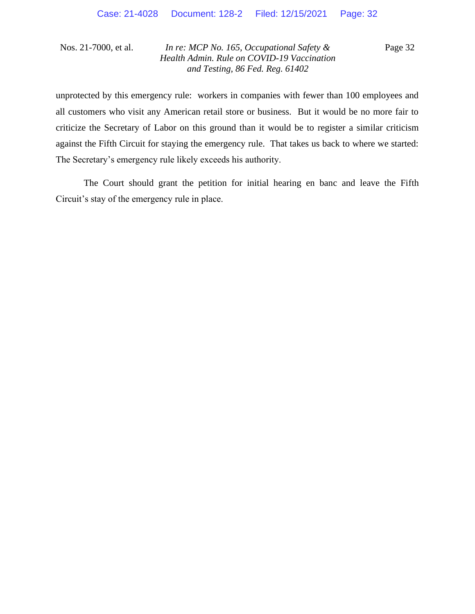Page 32

unprotected by this emergency rule: workers in companies with fewer than 100 employees and all customers who visit any American retail store or business. But it would be no more fair to criticize the Secretary of Labor on this ground than it would be to register a similar criticism against the Fifth Circuit for staying the emergency rule. That takes us back to where we started: The Secretary's emergency rule likely exceeds his authority.

The Court should grant the petition for initial hearing en banc and leave the Fifth Circuit's stay of the emergency rule in place.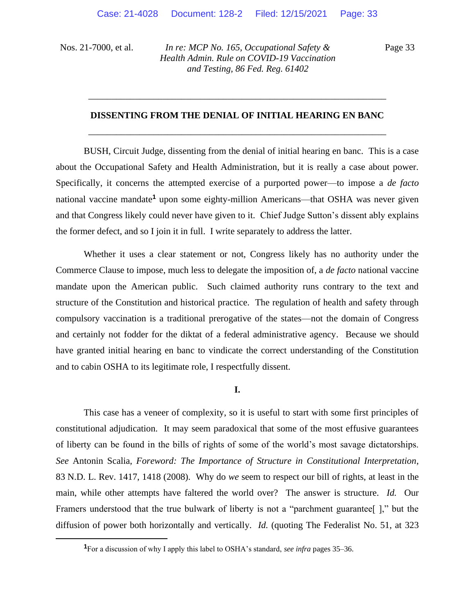Page 33

# **DISSENTING FROM THE DENIAL OF INITIAL HEARING EN BANC**  \_\_\_\_\_\_\_\_\_\_\_\_\_\_\_\_\_\_\_\_\_\_\_\_\_\_\_\_\_\_\_\_\_\_\_\_\_\_\_\_\_\_\_\_\_\_\_\_\_\_\_\_\_\_\_\_\_\_\_\_\_\_\_\_

\_\_\_\_\_\_\_\_\_\_\_\_\_\_\_\_\_\_\_\_\_\_\_\_\_\_\_\_\_\_\_\_\_\_\_\_\_\_\_\_\_\_\_\_\_\_\_\_\_\_\_\_\_\_\_\_\_\_\_\_\_\_\_\_

BUSH, Circuit Judge, dissenting from the denial of initial hearing en banc. This is a case about the Occupational Safety and Health Administration, but it is really a case about power. Specifically, it concerns the attempted exercise of a purported power—to impose a *de facto*  national vaccine mandate**<sup>1</sup>** upon some eighty-million Americans—that OSHA was never given and that Congress likely could never have given to it. Chief Judge Sutton's dissent ably explains the former defect, and so I join it in full. I write separately to address the latter.

Whether it uses a clear statement or not, Congress likely has no authority under the Commerce Clause to impose, much less to delegate the imposition of, a *de facto* national vaccine mandate upon the American public. Such claimed authority runs contrary to the text and structure of the Constitution and historical practice. The regulation of health and safety through compulsory vaccination is a traditional prerogative of the states—not the domain of Congress and certainly not fodder for the diktat of a federal administrative agency. Because we should have granted initial hearing en banc to vindicate the correct understanding of the Constitution and to cabin OSHA to its legitimate role, I respectfully dissent.

**I.**

This case has a veneer of complexity, so it is useful to start with some first principles of constitutional adjudication. It may seem paradoxical that some of the most effusive guarantees of liberty can be found in the bills of rights of some of the world's most savage dictatorships. *See* Antonin Scalia, *Foreword: The Importance of Structure in Constitutional Interpretation*, 83 N.D. L. Rev. 1417, 1418 (2008). Why do *we* seem to respect our bill of rights, at least in the main, while other attempts have faltered the world over? The answer is structure. *Id.* Our Framers understood that the true bulwark of liberty is not a "parchment guarantee[ ]," but the diffusion of power both horizontally and vertically. *Id.* (quoting The Federalist No. 51, at 323

**<sup>1</sup>**For a discussion of why I apply this label to OSHA's standard, *see infra* pages 35–36.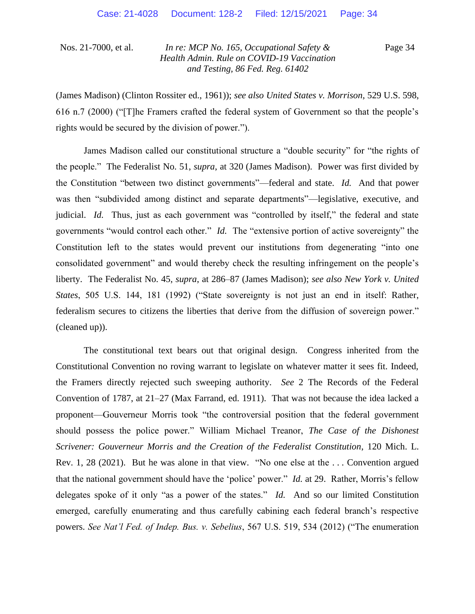Page 34

(James Madison) (Clinton Rossiter ed., 1961)); *see also United States v. Morrison*, 529 U.S. 598, 616 n.7 (2000) ("[T]he Framers crafted the federal system of Government so that the people's rights would be secured by the division of power.").

James Madison called our constitutional structure a "double security" for "the rights of the people." The Federalist No. 51, *supra*, at 320 (James Madison). Power was first divided by the Constitution "between two distinct governments"—federal and state. *Id.* And that power was then "subdivided among distinct and separate departments"—legislative, executive, and judicial. *Id.* Thus, just as each government was "controlled by itself," the federal and state governments "would control each other." *Id.* The "extensive portion of active sovereignty" the Constitution left to the states would prevent our institutions from degenerating "into one consolidated government" and would thereby check the resulting infringement on the people's liberty. The Federalist No. 45, *supra*, at 286–87 (James Madison); *see also New York v. United States*, 505 U.S. 144, 181 (1992) ("State sovereignty is not just an end in itself: Rather, federalism secures to citizens the liberties that derive from the diffusion of sovereign power." (cleaned up)).

The constitutional text bears out that original design. Congress inherited from the Constitutional Convention no roving warrant to legislate on whatever matter it sees fit. Indeed, the Framers directly rejected such sweeping authority. *See* 2 The Records of the Federal Convention of 1787, at 21–27 (Max Farrand, ed. 1911). That was not because the idea lacked a proponent—Gouverneur Morris took "the controversial position that the federal government should possess the police power." William Michael Treanor, *The Case of the Dishonest Scrivener: Gouverneur Morris and the Creation of the Federalist Constitution*, 120 Mich. L. Rev. 1, 28 (2021). But he was alone in that view. "No one else at the . . . Convention argued that the national government should have the 'police' power." *Id.* at 29. Rather, Morris's fellow delegates spoke of it only "as a power of the states." *Id.* And so our limited Constitution emerged, carefully enumerating and thus carefully cabining each federal branch's respective powers. *See Nat'l Fed. of Indep. Bus. v. Sebelius*, 567 U.S. 519, 534 (2012) ("The enumeration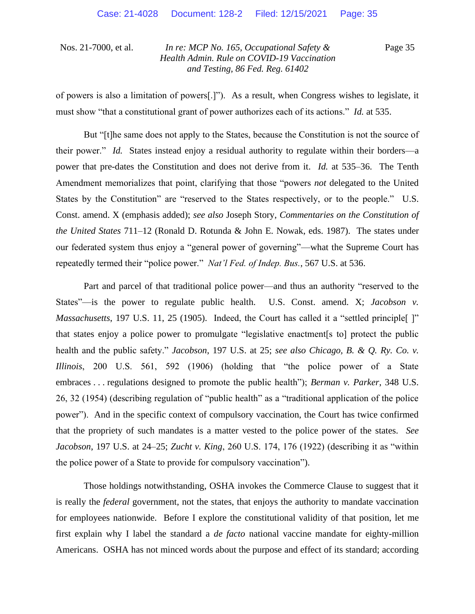Page 35

of powers is also a limitation of powers[.]"). As a result, when Congress wishes to legislate, it must show "that a constitutional grant of power authorizes each of its actions." *Id.* at 535.

But "[t]he same does not apply to the States, because the Constitution is not the source of their power." *Id.* States instead enjoy a residual authority to regulate within their borders—a power that pre-dates the Constitution and does not derive from it. *Id.* at 535–36. The Tenth Amendment memorializes that point, clarifying that those "powers *not* delegated to the United States by the Constitution" are "reserved to the States respectively, or to the people." U.S. Const. amend. X (emphasis added); *see also* Joseph Story, *Commentaries on the Constitution of the United States* 711–12 (Ronald D. Rotunda & John E. Nowak, eds. 1987). The states under our federated system thus enjoy a "general power of governing"—what the Supreme Court has repeatedly termed their "police power." *Nat'l Fed. of Indep. Bus.*, 567 U.S. at 536.

Part and parcel of that traditional police power—and thus an authority "reserved to the States"—is the power to regulate public health. U.S. Const. amend. X; *Jacobson v. Massachusetts*, 197 U.S. 11, 25 (1905). Indeed, the Court has called it a "settled principle<sup>[1]"</sup> that states enjoy a police power to promulgate "legislative enactment[s to] protect the public health and the public safety." *Jacobson*, 197 U.S. at 25; *see also Chicago, B. & Q. Ry. Co. v. Illinois*, 200 U.S. 561, 592 (1906) (holding that "the police power of a State embraces . . . regulations designed to promote the public health"); *Berman v. Parker*, 348 U.S. 26, 32 (1954) (describing regulation of "public health" as a "traditional application of the police power"). And in the specific context of compulsory vaccination, the Court has twice confirmed that the propriety of such mandates is a matter vested to the police power of the states. *See Jacobson*, 197 U.S. at 24–25; *Zucht v. King*, 260 U.S. 174, 176 (1922) (describing it as "within the police power of a State to provide for compulsory vaccination").

Those holdings notwithstanding, OSHA invokes the Commerce Clause to suggest that it is really the *federal* government, not the states, that enjoys the authority to mandate vaccination for employees nationwide. Before I explore the constitutional validity of that position, let me first explain why I label the standard a *de facto* national vaccine mandate for eighty-million Americans. OSHA has not minced words about the purpose and effect of its standard; according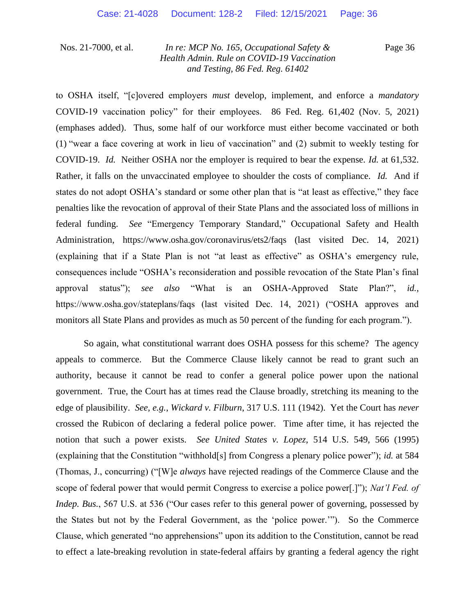Page 36

to OSHA itself, "[c]overed employers *must* develop, implement, and enforce a *mandatory*  COVID-19 vaccination policy" for their employees. 86 Fed. Reg. 61,402 (Nov. 5, 2021) (emphases added). Thus, some half of our workforce must either become vaccinated or both (1) "wear a face covering at work in lieu of vaccination" and (2) submit to weekly testing for COVID-19. *Id.* Neither OSHA nor the employer is required to bear the expense. *Id.* at 61,532. Rather, it falls on the unvaccinated employee to shoulder the costs of compliance. *Id.* And if states do not adopt OSHA's standard or some other plan that is "at least as effective," they face penalties like the revocation of approval of their State Plans and the associated loss of millions in federal funding. *See* "Emergency Temporary Standard," Occupational Safety and Health Administration, https://www.osha.gov/coronavirus/ets2/faqs (last visited Dec. 14, 2021) (explaining that if a State Plan is not "at least as effective" as OSHA's emergency rule, consequences include "OSHA's reconsideration and possible revocation of the State Plan's final approval status"); *see also* "What is an OSHA-Approved State Plan?", *id.*, https://www.osha.gov/stateplans/faqs (last visited Dec. 14, 2021) ("OSHA approves and monitors all State Plans and provides as much as 50 percent of the funding for each program.").

So again, what constitutional warrant does OSHA possess for this scheme? The agency appeals to commerce. But the Commerce Clause likely cannot be read to grant such an authority, because it cannot be read to confer a general police power upon the national government. True, the Court has at times read the Clause broadly, stretching its meaning to the edge of plausibility. *See, e.g.*, *Wickard v. Filburn*, 317 U.S. 111 (1942). Yet the Court has *never*  crossed the Rubicon of declaring a federal police power. Time after time, it has rejected the notion that such a power exists. *See United States v. Lopez*, 514 U.S. 549, 566 (1995) (explaining that the Constitution "withhold[s] from Congress a plenary police power"); *id.* at 584 (Thomas, J., concurring) ("[W]e *always* have rejected readings of the Commerce Clause and the scope of federal power that would permit Congress to exercise a police power[.]"); *Nat'l Fed. of Indep. Bus.*, 567 U.S. at 536 ("Our cases refer to this general power of governing, possessed by the States but not by the Federal Government, as the 'police power.'"). So the Commerce Clause, which generated "no apprehensions" upon its addition to the Constitution, cannot be read to effect a late-breaking revolution in state-federal affairs by granting a federal agency the right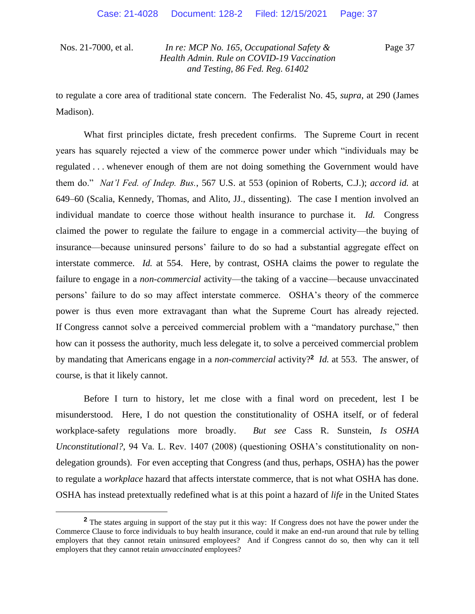Page 37

to regulate a core area of traditional state concern. The Federalist No. 45, *supra*, at 290 (James Madison).

What first principles dictate, fresh precedent confirms. The Supreme Court in recent years has squarely rejected a view of the commerce power under which "individuals may be regulated . . . whenever enough of them are not doing something the Government would have them do." *Nat'l Fed. of Indep. Bus.*, 567 U.S. at 553 (opinion of Roberts, C.J.); *accord id.* at 649–60 (Scalia, Kennedy, Thomas, and Alito, JJ., dissenting). The case I mention involved an individual mandate to coerce those without health insurance to purchase it. *Id.* Congress claimed the power to regulate the failure to engage in a commercial activity—the buying of insurance—because uninsured persons' failure to do so had a substantial aggregate effect on interstate commerce. *Id.* at 554. Here, by contrast, OSHA claims the power to regulate the failure to engage in a *non-commercial* activity—the taking of a vaccine—because unvaccinated persons' failure to do so may affect interstate commerce. OSHA's theory of the commerce power is thus even more extravagant than what the Supreme Court has already rejected. If Congress cannot solve a perceived commercial problem with a "mandatory purchase," then how can it possess the authority, much less delegate it, to solve a perceived commercial problem by mandating that Americans engage in a *non-commercial* activity?**<sup>2</sup>** *Id.* at 553. The answer, of course, is that it likely cannot.

Before I turn to history, let me close with a final word on precedent, lest I be misunderstood. Here, I do not question the constitutionality of OSHA itself, or of federal workplace-safety regulations more broadly. *But see* Cass R. Sunstein, *Is OSHA Unconstitutional?*, 94 Va. L. Rev. 1407 (2008) (questioning OSHA's constitutionality on nondelegation grounds). For even accepting that Congress (and thus, perhaps, OSHA) has the power to regulate a *workplace* hazard that affects interstate commerce, that is not what OSHA has done. OSHA has instead pretextually redefined what is at this point a hazard of *life* in the United States

**<sup>2</sup>** The states arguing in support of the stay put it this way: If Congress does not have the power under the Commerce Clause to force individuals to buy health insurance, could it make an end-run around that rule by telling employers that they cannot retain uninsured employees? And if Congress cannot do so, then why can it tell employers that they cannot retain *unvaccinated* employees?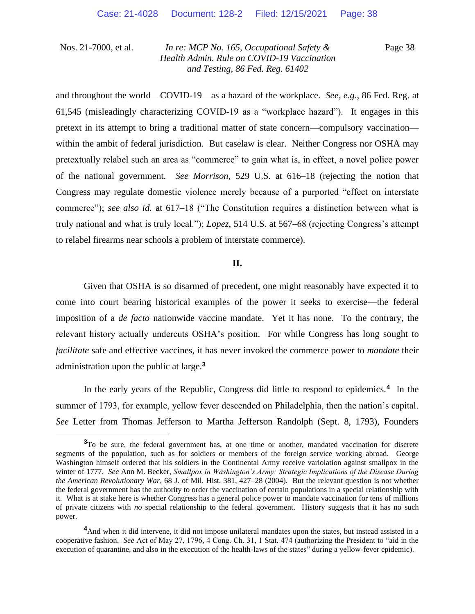Page 38

and throughout the world—COVID-19—as a hazard of the workplace. *See, e.g.*, 86 Fed. Reg. at 61,545 (misleadingly characterizing COVID-19 as a "workplace hazard"). It engages in this pretext in its attempt to bring a traditional matter of state concern—compulsory vaccination within the ambit of federal jurisdiction. But caselaw is clear. Neither Congress nor OSHA may pretextually relabel such an area as "commerce" to gain what is, in effect, a novel police power of the national government. *See Morrison*, 529 U.S. at 616–18 (rejecting the notion that Congress may regulate domestic violence merely because of a purported "effect on interstate commerce"); *see also id.* at 617–18 ("The Constitution requires a distinction between what is truly national and what is truly local."); *Lopez*, 514 U.S. at 567–68 (rejecting Congress's attempt to relabel firearms near schools a problem of interstate commerce).

#### **II.**

Given that OSHA is so disarmed of precedent, one might reasonably have expected it to come into court bearing historical examples of the power it seeks to exercise—the federal imposition of a *de facto* nationwide vaccine mandate. Yet it has none. To the contrary, the relevant history actually undercuts OSHA's position. For while Congress has long sought to *facilitate* safe and effective vaccines, it has never invoked the commerce power to *mandate* their administration upon the public at large.**<sup>3</sup>**

In the early years of the Republic, Congress did little to respond to epidemics.**<sup>4</sup>** In the summer of 1793, for example, yellow fever descended on Philadelphia, then the nation's capital. *See* Letter from Thomas Jefferson to Martha Jefferson Randolph (Sept. 8, 1793), Founders

**<sup>3</sup>**To be sure, the federal government has, at one time or another, mandated vaccination for discrete segments of the population, such as for soldiers or members of the foreign service working abroad. George Washington himself ordered that his soldiers in the Continental Army receive variolation against smallpox in the winter of 1777. *See* Ann M. Becker, *Smallpox in Washington's Army: Strategic Implications of the Disease During the American Revolutionary War*, 68 J. of Mil. Hist. 381, 427–28 (2004). But the relevant question is not whether the federal government has the authority to order the vaccination of certain populations in a special relationship with it. What is at stake here is whether Congress has a general police power to mandate vaccination for tens of millions of private citizens with *no* special relationship to the federal government. History suggests that it has no such power.

<sup>&</sup>lt;sup>4</sup>And when it did intervene, it did not impose unilateral mandates upon the states, but instead assisted in a cooperative fashion. *See* Act of May 27, 1796, 4 Cong. Ch. 31, 1 Stat. 474 (authorizing the President to "aid in the execution of quarantine, and also in the execution of the health-laws of the states" during a yellow-fever epidemic).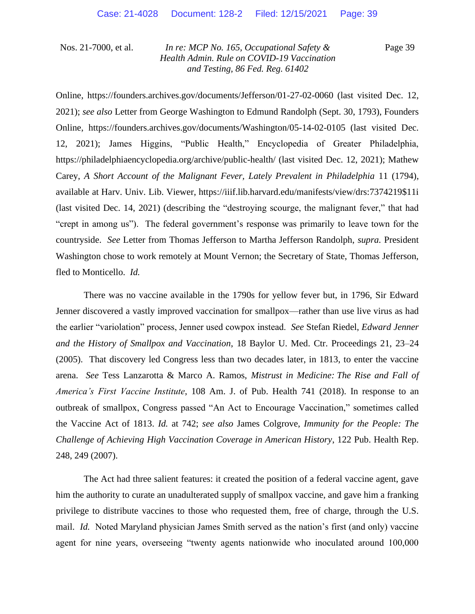Page 39

Online, https://founders.archives.gov/documents/Jefferson/01-27-02-0060 (last visited Dec. 12, 2021); *see also* Letter from George Washington to Edmund Randolph (Sept. 30, 1793), Founders Online, https://founders.archives.gov/documents/Washington/05-14-02-0105 (last visited Dec. 12, 2021); James Higgins, "Public Health," Encyclopedia of Greater Philadelphia, https://philadelphiaencyclopedia.org/archive/public-health/ (last visited Dec. 12, 2021); Mathew Carey, *A Short Account of the Malignant Fever, Lately Prevalent in Philadelphia* 11 (1794), available at Harv. Univ. Lib. Viewer, https://iiif.lib.harvard.edu/manifests/view/drs:7374219\$11i (last visited Dec. 14, 2021) (describing the "destroying scourge, the malignant fever," that had "crept in among us"). The federal government's response was primarily to leave town for the countryside. *See* Letter from Thomas Jefferson to Martha Jefferson Randolph, *supra.* President Washington chose to work remotely at Mount Vernon; the Secretary of State, Thomas Jefferson, fled to Monticello. *Id.*

There was no vaccine available in the 1790s for yellow fever but, in 1796, Sir Edward Jenner discovered a vastly improved vaccination for smallpox—rather than use live virus as had the earlier "variolation" process, Jenner used cowpox instead. *See* Stefan Riedel, *Edward Jenner and the History of Smallpox and Vaccination*, 18 Baylor U. Med. Ctr. Proceedings 21, 23–24 (2005). That discovery led Congress less than two decades later, in 1813, to enter the vaccine arena. *See* Tess Lanzarotta & Marco A. Ramos, *Mistrust in Medicine: The Rise and Fall of America's First Vaccine Institute*, 108 Am. J. of Pub. Health 741 (2018). In response to an outbreak of smallpox, Congress passed "An Act to Encourage Vaccination," sometimes called the Vaccine Act of 1813. *Id.* at 742; *see also* James Colgrove, *Immunity for the People: The Challenge of Achieving High Vaccination Coverage in American History*, 122 Pub. Health Rep. 248, 249 (2007).

The Act had three salient features: it created the position of a federal vaccine agent, gave him the authority to curate an unadulterated supply of smallpox vaccine, and gave him a franking privilege to distribute vaccines to those who requested them, free of charge, through the U.S. mail. *Id.* Noted Maryland physician James Smith served as the nation's first (and only) vaccine agent for nine years, overseeing "twenty agents nationwide who inoculated around 100,000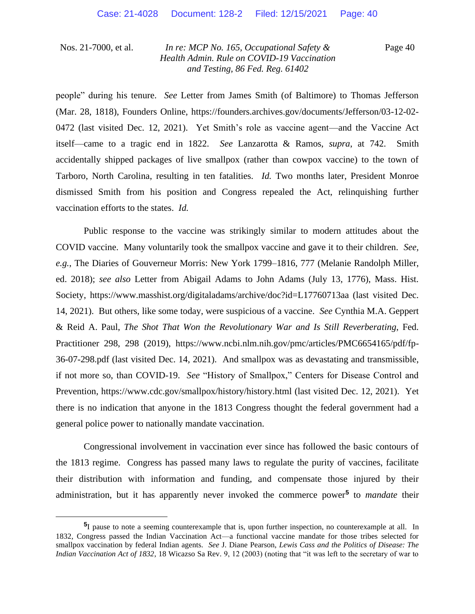Page 40

people" during his tenure. *See* Letter from James Smith (of Baltimore) to Thomas Jefferson (Mar. 28, 1818), Founders Online, https://founders.archives.gov/documents/Jefferson/03-12-02- 0472 (last visited Dec. 12, 2021). Yet Smith's role as vaccine agent—and the Vaccine Act itself—came to a tragic end in 1822. *See* Lanzarotta & Ramos, *supra*, at 742. Smith accidentally shipped packages of live smallpox (rather than cowpox vaccine) to the town of Tarboro, North Carolina, resulting in ten fatalities. *Id.* Two months later, President Monroe dismissed Smith from his position and Congress repealed the Act, relinquishing further vaccination efforts to the states. *Id.*

Public response to the vaccine was strikingly similar to modern attitudes about the COVID vaccine. Many voluntarily took the smallpox vaccine and gave it to their children. *See, e.g.*, The Diaries of Gouverneur Morris: New York 1799–1816, 777 (Melanie Randolph Miller, ed. 2018); *see also* Letter from Abigail Adams to John Adams (July 13, 1776), Mass. Hist. Society, https://www.masshist.org/digitaladams/archive/doc?id=L17760713aa (last visited Dec. 14, 2021). But others, like some today, were suspicious of a vaccine. *See* Cynthia M.A. Geppert & Reid A. Paul, *The Shot That Won the Revolutionary War and Is Still Reverberating*, Fed. Practitioner 298, 298 (2019), https://www.ncbi.nlm.nih.gov/pmc/articles/PMC6654165/pdf/fp-36-07-298.pdf (last visited Dec. 14, 2021). And smallpox was as devastating and transmissible, if not more so, than COVID-19. *See* "History of Smallpox," Centers for Disease Control and Prevention, https://www.cdc.gov/smallpox/history/history.html (last visited Dec. 12, 2021). Yet there is no indication that anyone in the 1813 Congress thought the federal government had a general police power to nationally mandate vaccination.

Congressional involvement in vaccination ever since has followed the basic contours of the 1813 regime. Congress has passed many laws to regulate the purity of vaccines, facilitate their distribution with information and funding, and compensate those injured by their administration, but it has apparently never invoked the commerce power**<sup>5</sup>** to *mandate* their

**<sup>5</sup>** I pause to note a seeming counterexample that is, upon further inspection, no counterexample at all. In 1832, Congress passed the Indian Vaccination Act—a functional vaccine mandate for those tribes selected for smallpox vaccination by federal Indian agents. *See* J. Diane Pearson, *Lewis Cass and the Politics of Disease: The Indian Vaccination Act of 1832*, 18 Wicazso Sa Rev. 9, 12 (2003) (noting that "it was left to the secretary of war to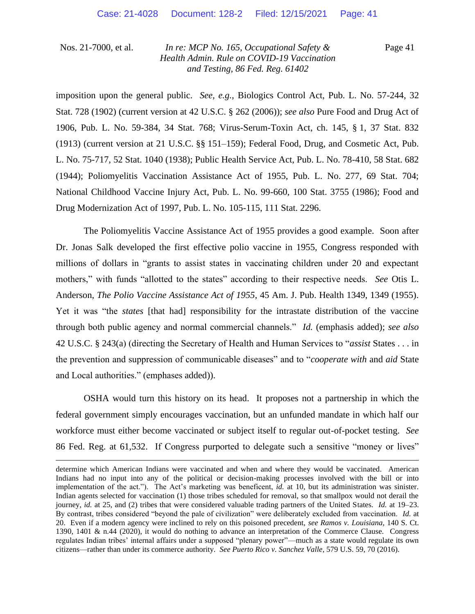Page 41

imposition upon the general public. *See, e.g.*, Biologics Control Act, Pub. L. No. 57-244, 32 Stat. 728 (1902) (current version at 42 U.S.C. § 262 (2006)); *see also* Pure Food and Drug Act of 1906, Pub. L. No. 59-384, 34 Stat. 768; Virus-Serum-Toxin Act, ch. 145, § 1, 37 Stat. 832 (1913) (current version at 21 U.S.C. §§ 151–159); Federal Food, Drug, and Cosmetic Act, Pub. L. No. 75-717, 52 Stat. 1040 (1938); Public Health Service Act, Pub. L. No. 78-410, 58 Stat. 682 (1944); Poliomyelitis Vaccination Assistance Act of 1955, Pub. L. No. 277, 69 Stat. 704; National Childhood Vaccine Injury Act, Pub. L. No. 99-660, 100 Stat. 3755 (1986); Food and Drug Modernization Act of 1997, Pub. L. No. 105-115, 111 Stat. 2296.

The Poliomyelitis Vaccine Assistance Act of 1955 provides a good example. Soon after Dr. Jonas Salk developed the first effective polio vaccine in 1955, Congress responded with millions of dollars in "grants to assist states in vaccinating children under 20 and expectant mothers," with funds "allotted to the states" according to their respective needs. *See* Otis L. Anderson, *The Polio Vaccine Assistance Act of 1955*, 45 Am. J. Pub. Health 1349, 1349 (1955). Yet it was "the *states* [that had] responsibility for the intrastate distribution of the vaccine through both public agency and normal commercial channels." *Id.* (emphasis added); *see also*  42 U.S.C. § 243(a) (directing the Secretary of Health and Human Services to "*assist* States . . . in the prevention and suppression of communicable diseases" and to "*cooperate with* and *aid* State and Local authorities." (emphases added)).

OSHA would turn this history on its head. It proposes not a partnership in which the federal government simply encourages vaccination, but an unfunded mandate in which half our workforce must either become vaccinated or subject itself to regular out-of-pocket testing. *See*  86 Fed. Reg. at 61,532. If Congress purported to delegate such a sensitive "money or lives"

determine which American Indians were vaccinated and when and where they would be vaccinated. American Indians had no input into any of the political or decision-making processes involved with the bill or into implementation of the act."). The Act's marketing was beneficent, *id.* at 10, but its administration was sinister. Indian agents selected for vaccination (1) those tribes scheduled for removal, so that smallpox would not derail the journey, *id.* at 25, and (2) tribes that were considered valuable trading partners of the United States. *Id.* at 19–23. By contrast, tribes considered "beyond the pale of civilization" were deliberately excluded from vaccination. *Id.* at 20. Even if a modern agency were inclined to rely on this poisoned precedent, *see Ramos v. Louisiana*, 140 S. Ct. 1390, 1401 & n.44 (2020), it would do nothing to advance an interpretation of the Commerce Clause. Congress regulates Indian tribes' internal affairs under a supposed "plenary power"—much as a state would regulate its own citizens—rather than under its commerce authority. *See Puerto Rico v. Sanchez Valle*, 579 U.S. 59, 70 (2016).